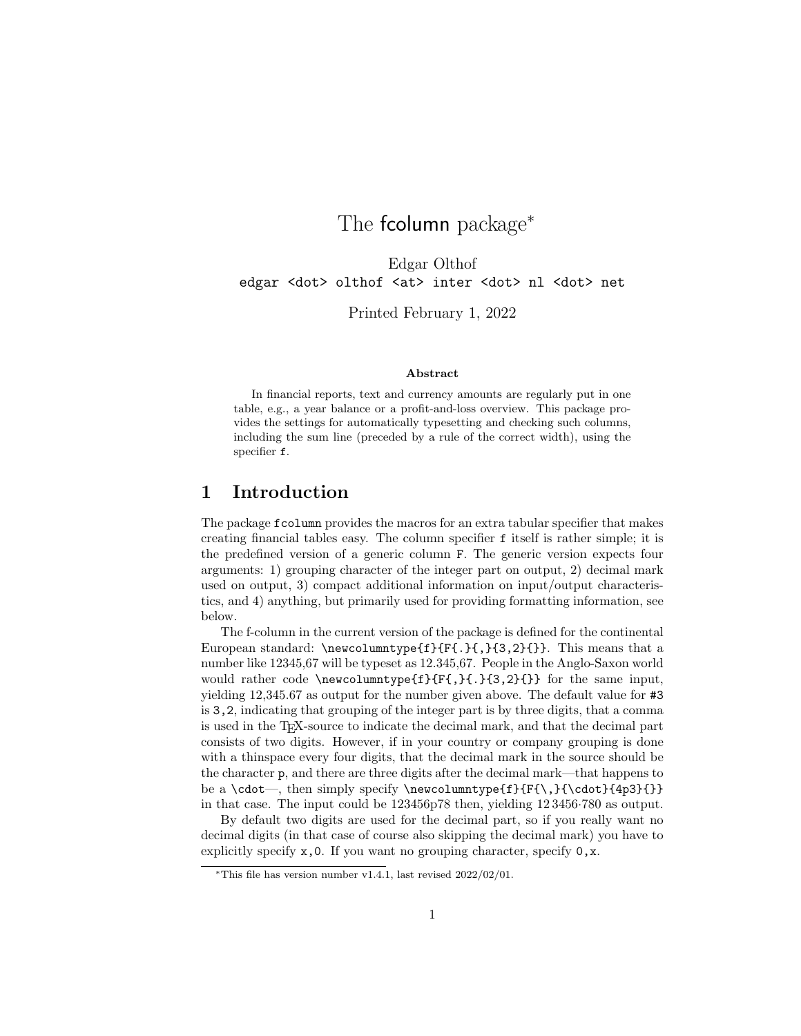# The **fcolumn** package<sup>\*</sup>

Edgar Olthof edgar <dot> olthof <at> inter <dot> nl <dot> net

Printed February 1, 2022

#### Abstract

In financial reports, text and currency amounts are regularly put in one table, e.g., a year balance or a profit-and-loss overview. This package provides the settings for automatically typesetting and checking such columns, including the sum line (preceded by a rule of the correct width), using the specifier f.

### <span id="page-0-0"></span>1 Introduction

The package fcolumn provides the macros for an extra tabular specifier that makes creating financial tables easy. The column specifier f itself is rather simple; it is the predefined version of a generic column F. The generic version expects four arguments: 1) grouping character of the integer part on output, 2) decimal mark used on output, 3) compact additional information on input/output characteristics, and 4) anything, but primarily used for providing formatting information, see below.

The f-column in the current version of the package is defined for the continental European standard:  $\newcommand{\mbox{\mbox{\wedge}}\sum_{f} {\f}$ ,  $\{3,2\}$ }. This means that a number like 12345,67 will be typeset as 12.345,67. People in the Anglo-Saxon world would rather code  $\newcommand{\mbox}{\mbox{2}}{f}{f$ ,  ${3,2}{}$  for the same input, yielding 12,345.67 as output for the number given above. The default value for #3 is 3,2, indicating that grouping of the integer part is by three digits, that a comma is used in the TEX-source to indicate the decimal mark, and that the decimal part consists of two digits. However, if in your country or company grouping is done with a thinspace every four digits, that the decimal mark in the source should be the character p, and there are three digits after the decimal mark—that happens to be a \cdot—, then simply specify \newcolumntype{f}{F{\,}{\cdot}{4p3}{}} in that case. The input could be 123456p78 then, yielding 12 3456·780 as output.

By default two digits are used for the decimal part, so if you really want no decimal digits (in that case of course also skipping the decimal mark) you have to explicitly specify  $x, 0$ . If you want no grouping character, specify  $0, x$ .

<sup>∗</sup>This file has version number v1.4.1, last revised 2022/02/01.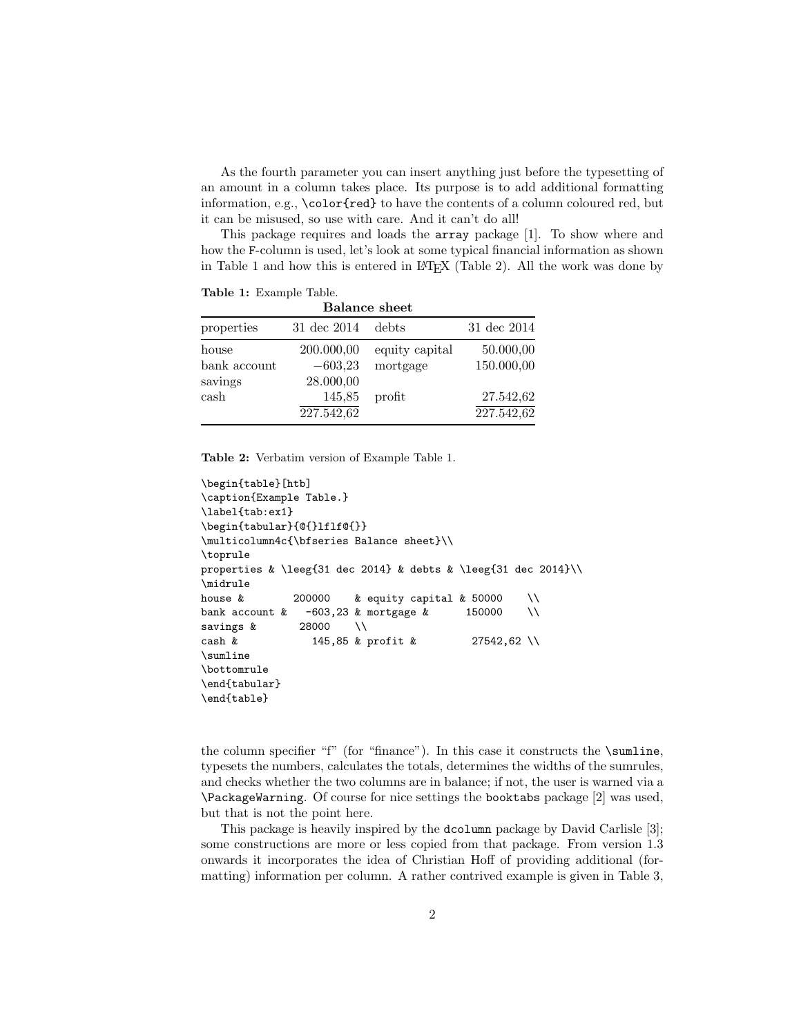As the fourth parameter you can insert anything just before the typesetting of an amount in a column takes place. Its purpose is to add additional formatting information, e.g., \color{red} to have the contents of a column coloured red, but it can be misused, so use with care. And it can't do all!

This package requires and loads the array package [\[1\]](#page-22-0). To show where and how the F-column is used, let's look at some typical financial information as shown in Table [1](#page-1-0) and how this is entered in LATEX (Table [2\)](#page-1-1). All the work was done by

<span id="page-1-0"></span>Table 1: Example Table.

| <b>Balance sheet</b> |             |                |             |
|----------------------|-------------|----------------|-------------|
| properties           | 31 dec 2014 | debts          | 31 dec 2014 |
| house                | 200.000,00  | equity capital | 50.000,00   |
| bank account         | $-603,23$   | mortgage       | 150.000,00  |
| savings              | 28.000,00   |                |             |
| cash                 | 145,85      | profit         | 27.542,62   |
|                      | 227.542,62  |                | 227.542,62  |

<span id="page-1-1"></span>Table 2: Verbatim version of Example Table [1.](#page-1-0)

```
\begin{table}[htb]
\caption{Example Table.}
\label{tab:ex1}
\begin{tabular}{@{}lflf@{}}
\multicolumn4c{\bfseries Balance sheet}\\
\toprule
properties & \leeg{31 dec 2014} & debts & \leeg{31 dec 2014}\\
\midrule
house \& 200000 \& equity capital \& 50000 \\
bank account k = -603,23 & mortgage k = 150000 \\
savings & 28000 \\
cash & 145,85 & profit & 27542,62 \\
\sumline
\bottomrule
\end{tabular}
\end{table}
```
the column specifier "f" (for "finance"). In this case it constructs the \sumline, typesets the numbers, calculates the totals, determines the widths of the sumrules, and checks whether the two columns are in balance; if not, the user is warned via a \PackageWarning. Of course for nice settings the booktabs package [\[2\]](#page-22-1) was used, but that is not the point here.

This package is heavily inspired by the dcolumn package by David Carlisle [\[3\]](#page-22-2); some constructions are more or less copied from that package. From version 1.3 onwards it incorporates the idea of Christian Hoff of providing additional (formatting) information per column. A rather contrived example is given in Table [3,](#page-2-0)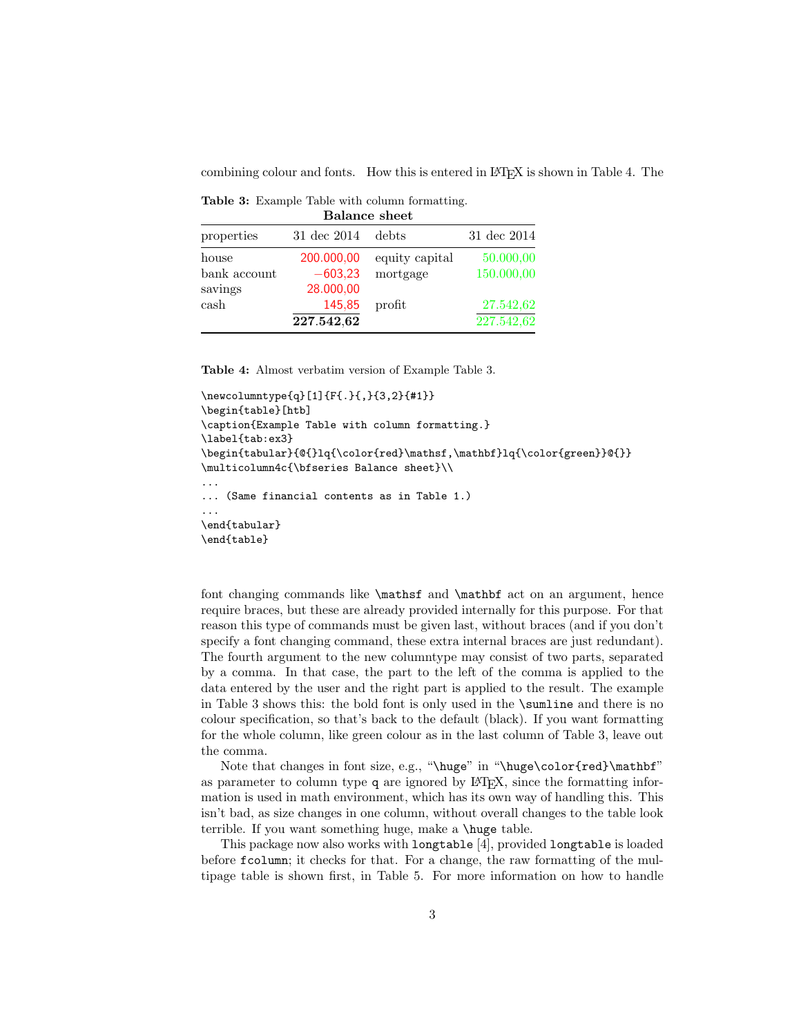combining colour and fonts. How this is entered in LAT<sub>E</sub>X is shown in Table [4.](#page-2-1) The

<span id="page-2-0"></span>Table 3: Example Table with column formatting. Balance sheet

| Dalance sheet |             |                |             |
|---------------|-------------|----------------|-------------|
| properties    | 31 dec 2014 | debts          | 31 dec 2014 |
| house         | 200.000,00  | equity capital | 50.000,00   |
| bank account  | $-603,23$   | mortgage       | 150.000,00  |
| savings       | 28.000,00   |                |             |
| cash          | 145,85      | profit         | 27.542,62   |
|               | 227.542,62  |                | 227.542,62  |

<span id="page-2-1"></span>Table 4: Almost verbatim version of Example Table [3.](#page-2-0)

```
\newcolumntype{q}[1]{F{.}{,}{3,2}{#1}}
\begin{table}[htb]
\caption{Example Table with column formatting.}
\label{tab:ex3}
\begin{tabular}{@{}lq{\color{red}\mathsf,\mathbf}lq{\color{green}}@{}}
\multicolumn4c{\bfseries Balance sheet}\\
...
... (Same financial contents as in Table 1.)
...
\end{tabular}
\end{table}
```
font changing commands like  $\mathbf{$ } and  $\mathbf{}$  act on an argument, hence require braces, but these are already provided internally for this purpose. For that reason this type of commands must be given last, without braces (and if you don't specify a font changing command, these extra internal braces are just redundant). The fourth argument to the new columntype may consist of two parts, separated by a comma. In that case, the part to the left of the comma is applied to the data entered by the user and the right part is applied to the result. The example in Table [3](#page-2-0) shows this: the bold font is only used in the \sumline and there is no colour specification, so that's back to the default (black). If you want formatting for the whole column, like green colour as in the last column of Table [3,](#page-2-0) leave out the comma.

Note that changes in font size, e.g., "\huge" in "\huge\color{red}\mathbf" as parameter to column type  $q$  are ignored by  $\mathbb{F}T_FX$ , since the formatting information is used in math environment, which has its own way of handling this. This isn't bad, as size changes in one column, without overall changes to the table look terrible. If you want something huge, make a \huge table.

This package now also works with longtable [\[4\]](#page-22-3), provided longtable is loaded before fcolumn; it checks for that. For a change, the raw formatting of the multipage table is shown first, in Table [5.](#page-3-0) For more information on how to handle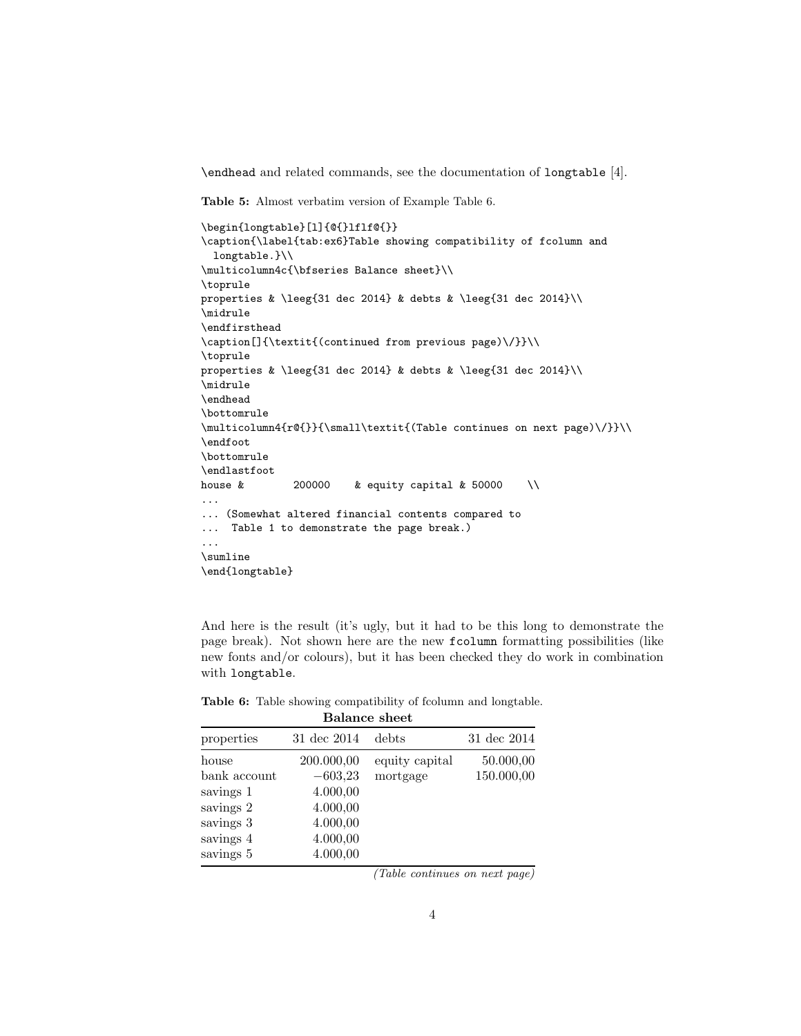\endhead and related commands, see the documentation of longtable [\[4\]](#page-22-3).

<span id="page-3-0"></span>Table 5: Almost verbatim version of Example Table [6.](#page-3-1)

```
\begin{longtable}[l]{@{}lflf@{}}
\caption{\label{tab:ex6}Table showing compatibility of fcolumn and
  longtable.}\\
\multicolumn4c{\bfseries Balance sheet}\\
\toprule
properties & \leeg{31 dec 2014} & debts & \leeg{31 dec 2014}\\
\midrule
\endfirsthead
\caption[]{\textit{(continued from previous page)\/}}\\
\toprule
properties & \leeg{31 dec 2014} & debts & \leeg{31 dec 2014}\\
\midrule
\endhead
\bottomrule
\multicolumn4{r@{}}{\small\textit{(Table continues on next page)\/}}\\
\endfoot
\bottomrule
\endlastfoot
house \& 200000 \& equity capital \& 50000 \\
...
... (Somewhat altered financial contents compared to
... Table 1 to demonstrate the page break.)
...
\sumline
\end{longtable}
```
And here is the result (it's ugly, but it had to be this long to demonstrate the page break). Not shown here are the new fcolumn formatting possibilities (like new fonts and/or colours), but it has been checked they do work in combination with longtable.

| 31 dec 2014 | debts          | 31 dec 2014   |  |
|-------------|----------------|---------------|--|
| 200.000,00  | equity capital | 50.000,00     |  |
| $-603,23$   | mortgage       | 150.000,00    |  |
| 4.000,00    |                |               |  |
| 4.000,00    |                |               |  |
| 4.000,00    |                |               |  |
| 4.000,00    |                |               |  |
| 4.000,00    |                |               |  |
|             |                | Dalance sheet |  |

<span id="page-3-1"></span>Table 6: Table showing compatibility of fcolumn and longtable. Balance sheet

(Table continues on next page)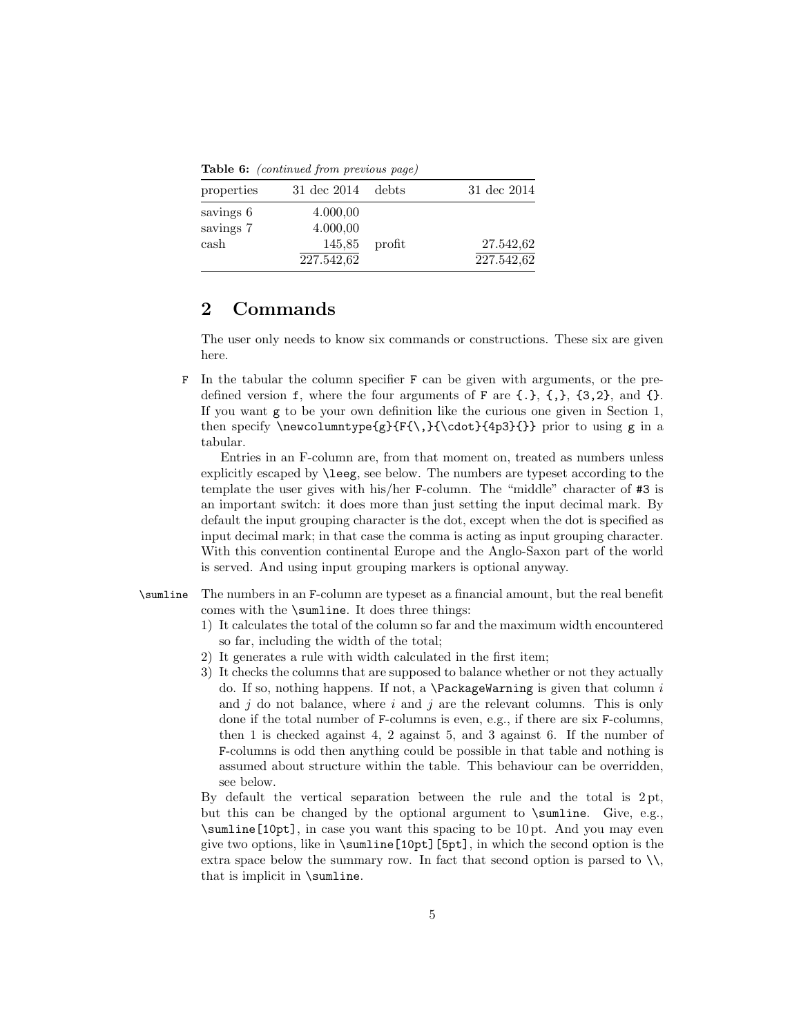Table 6: (continued from previous page)

| properties             | $31 \text{ dec } 2014$ debts |        | 31 dec 2014 |
|------------------------|------------------------------|--------|-------------|
| savings 6<br>savings 7 | 4.000,00<br>4.000,00         |        |             |
| cash                   | 145,85                       | profit | 27.542,62   |
|                        | 227.542,62                   |        | 227.542,62  |

### 2 Commands

The user only needs to know six commands or constructions. These six are given here.

F In the tabular the column specifier F can be given with arguments, or the predefined version  $f$ , where the four arguments of F are  $\{\cdot\}, \{\cdot\}, \{\cdot\}, \{3,2\}, \text{ and } \{\cdot\}.$ If you want g to be your own definition like the curious one given in Section [1,](#page-0-0) then specify  $\newcolumntype{g}{F{\},}{\cdot\{4p3}{}\}$  prior to using g in a tabular.

Entries in an F-column are, from that moment on, treated as numbers unless explicitly escaped by \leeg, see below. The numbers are typeset according to the template the user gives with his/her F-column. The "middle" character of #3 is an important switch: it does more than just setting the input decimal mark. By default the input grouping character is the dot, except when the dot is specified as input decimal mark; in that case the comma is acting as input grouping character. With this convention continental Europe and the Anglo-Saxon part of the world is served. And using input grouping markers is optional anyway.

- \sumline The numbers in an F-column are typeset as a financial amount, but the real benefit comes with the \sumline. It does three things:
	- 1) It calculates the total of the column so far and the maximum width encountered so far, including the width of the total;
	- 2) It generates a rule with width calculated in the first item;
	- 3) It checks the columns that are supposed to balance whether or not they actually do. If so, nothing happens. If not, a **\PackageWarning** is given that column  $i$ and  $j$  do not balance, where i and  $j$  are the relevant columns. This is only done if the total number of F-columns is even, e.g., if there are six F-columns, then 1 is checked against 4, 2 against 5, and 3 against 6. If the number of F-columns is odd then anything could be possible in that table and nothing is assumed about structure within the table. This behaviour can be overridden, see below.

By default the vertical separation between the rule and the total is 2 pt, but this can be changed by the optional argument to \sumline. Give, e.g., \sumline[10pt], in case you want this spacing to be 10 pt. And you may even give two options, like in \sumline[10pt][5pt], in which the second option is the extra space below the summary row. In fact that second option is parsed to  $\setminus \setminus$ , that is implicit in \sumline.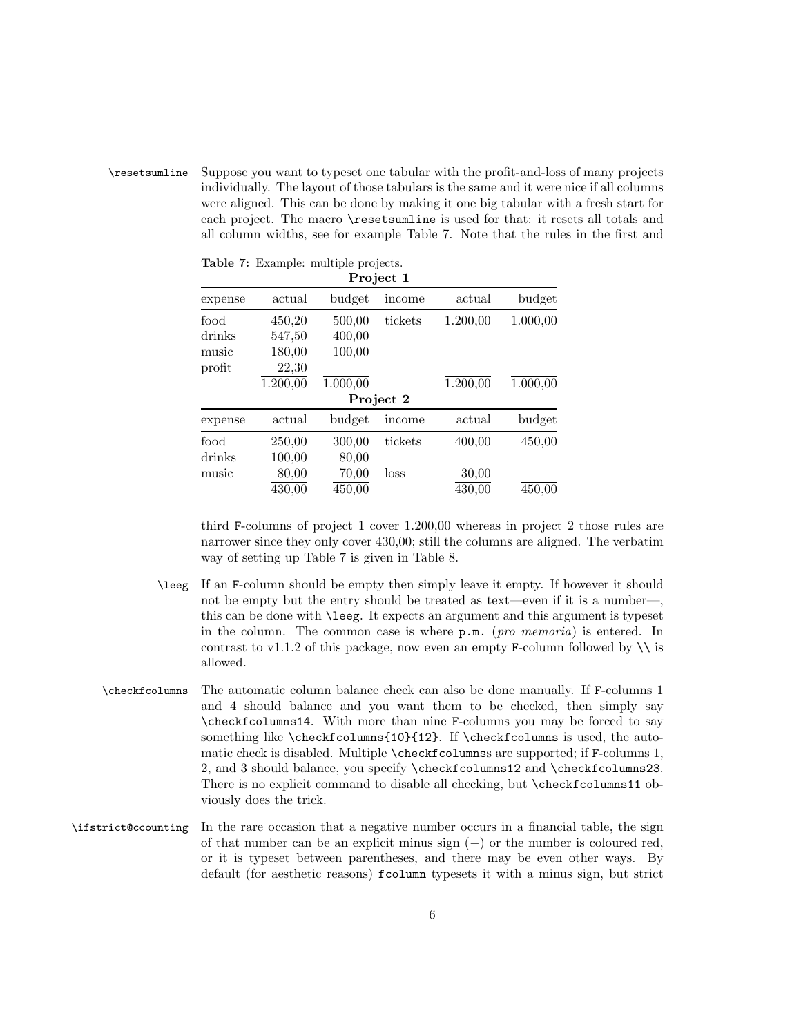\resetsumline Suppose you want to typeset one tabular with the profit-and-loss of many projects individually. The layout of those tabulars is the same and it were nice if all columns were aligned. This can be done by making it one big tabular with a fresh start for each project. The macro **\resetsumline** is used for that: it resets all totals and all column widths, see for example Table [7.](#page-5-0) Note that the rules in the first and

| Project 1 |          |          |         |          |          |
|-----------|----------|----------|---------|----------|----------|
| expense   | actual   | budget   | income  | actual   | budget   |
| food      | 450,20   | 500,00   | tickets | 1.200,00 | 1.000,00 |
| drinks    | 547,50   | 400,00   |         |          |          |
| music     | 180,00   | 100,00   |         |          |          |
| profit    | 22,30    |          |         |          |          |
|           | 1.200,00 | 1.000,00 |         | 1.200,00 | 1.000,00 |
| Project 2 |          |          |         |          |          |
| expense   | actual   | budget   | income  | actual   | budget   |
| food      | 250,00   | 300,00   | tickets | 400,00   | 450,00   |
| drinks    | 100,00   | 80,00    |         |          |          |
| music     | 80,00    | 70,00    | loss    | 30,00    |          |
|           | 430,00   | 450,00   |         | 430,00   | 450,00   |

<span id="page-5-0"></span>Table 7: Example: multiple projects.

third F-columns of project 1 cover 1.200,00 whereas in project 2 those rules are narrower since they only cover 430,00; still the columns are aligned. The verbatim way of setting up Table [7](#page-5-0) is given in Table [8.](#page-6-0)

- \leeg If an F-column should be empty then simply leave it empty. If however it should not be empty but the entry should be treated as text—even if it is a number—, this can be done with \leeg. It expects an argument and this argument is typeset in the column. The common case is where p.m. (pro memoria) is entered. In contrast to v1.1.2 of this package, now even an empty F-column followed by  $\setminus \setminus$  is allowed.
- \checkfcolumns The automatic column balance check can also be done manually. If F-columns 1 and 4 should balance and you want them to be checked, then simply say \checkfcolumns14. With more than nine F-columns you may be forced to say something like \checkfcolumns{10}{12}. If \checkfcolumns is used, the automatic check is disabled. Multiple \checkfcolumnss are supported; if F-columns 1, 2, and 3 should balance, you specify \checkfcolumns12 and \checkfcolumns23. There is no explicit command to disable all checking, but \checkfcolumns11 obviously does the trick.
- \ifstrict@ccounting In the rare occasion that a negative number occurs in a financial table, the sign of that number can be an explicit minus sign  $(-)$  or the number is coloured red, or it is typeset between parentheses, and there may be even other ways. By default (for aesthetic reasons) fcolumn typesets it with a minus sign, but strict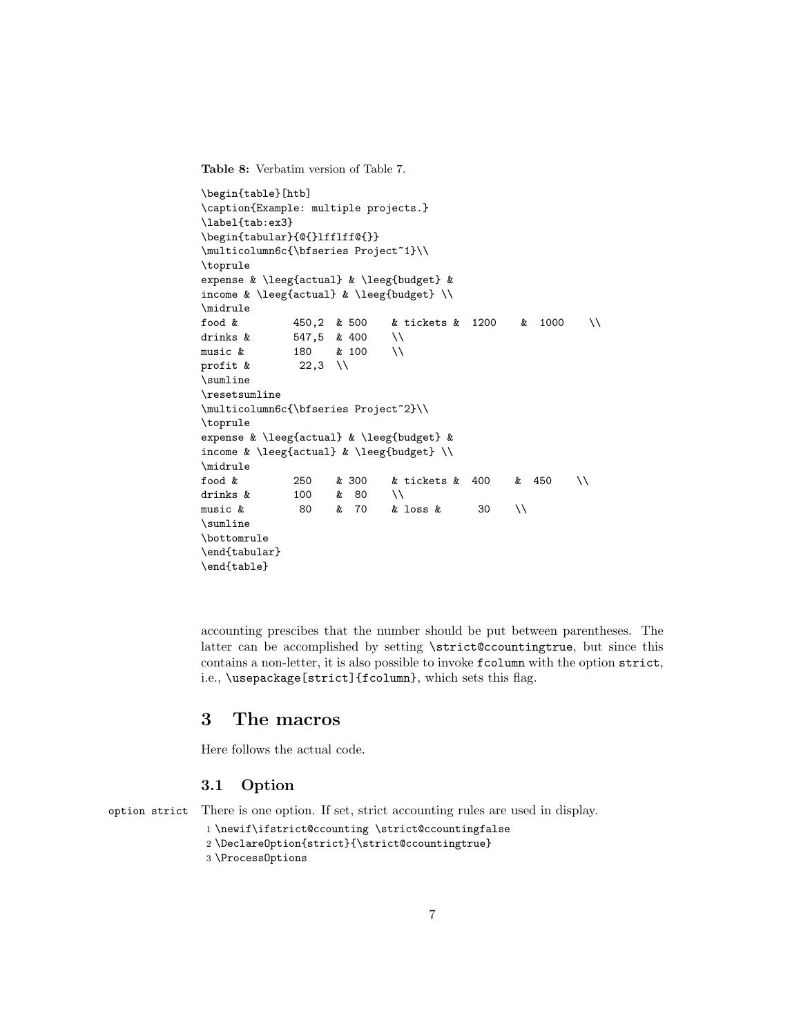<span id="page-6-0"></span>Table 8: Verbatim version of Table [7.](#page-5-0)

```
\begin{table}[htb]
\caption{Example: multiple projects.}
\label{tab:ex3}
\begin{tabular}{@{}lfflff@{}}
\multicolumn6c{\bfseries Project~1}\\
\toprule
expense & \leeg{actual} & \leeg{budget} &
income & \leeg{actual} & \leeg{budget} \\
\midrule
food & 450,2 & 500 & tickets & 1200 & 1000 \\
drinks \& 547,5 \& 400 \quad \iotamusic & 180 & 100 \\
profit \& 22,3 \\
\sumline
\resetsumline
\multicolumn6c{\bfseries Project~2}\\
\toprule
expense & \leeg{actual} & \leeg{budget} &
income & \leeg{actual} & \leeg{budget} \\
\midrule
food & 250 & 300 & tickets & 400 & 450 \\
drinks k = 100 k = 80 \\
music & 80 & 70 & loss & 30 \\
\sumline
\bottomrule
\end{tabular}
\end{table}
```
accounting prescibes that the number should be put between parentheses. The latter can be accomplished by setting \strict@ccountingtrue, but since this contains a non-letter, it is also possible to invoke fcolumn with the option strict, i.e., \usepackage[strict]{fcolumn}, which sets this flag.

### 3 The macros

Here follows the actual code.

#### 3.1 Option

option strict There is one option. If set, strict accounting rules are used in display.

```
1 \newif\ifstrict@ccounting \strict@ccountingfalse
2 \DeclareOption{strict}{\strict@ccountingtrue}
```

```
3 \ProcessOptions
```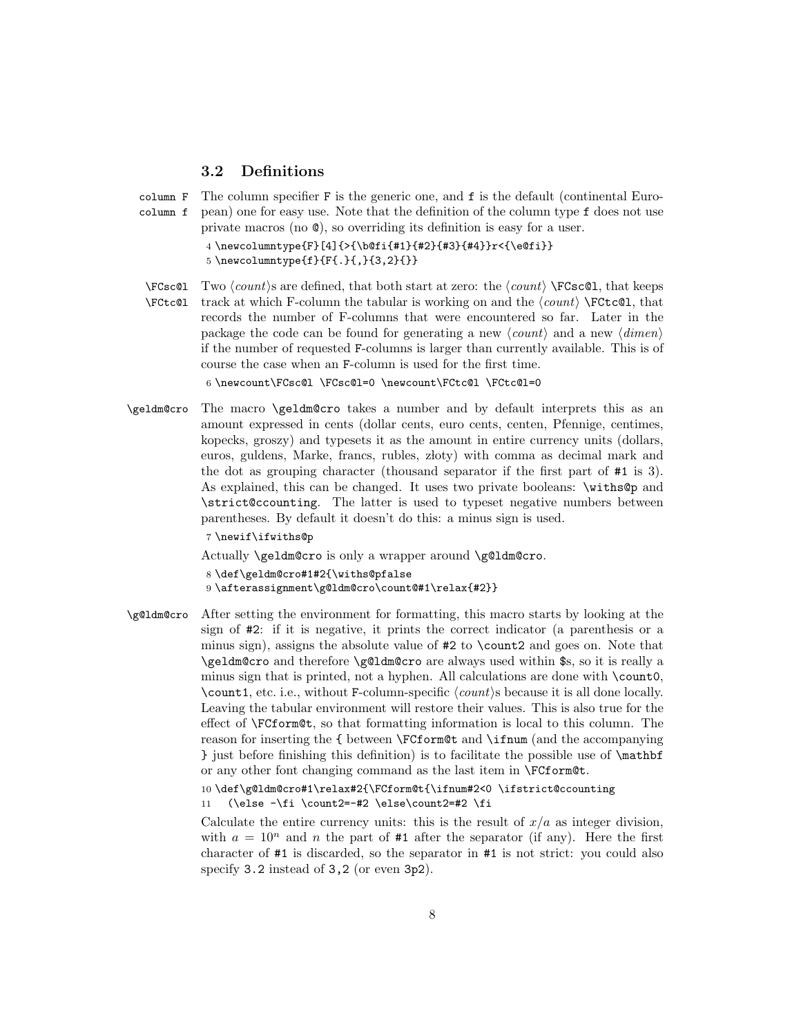### 3.2 Definitions

```
column F
```
column f The column specifier F is the generic one, and f is the default (continental European) one for easy use. Note that the definition of the column type f does not use private macros (no @), so overriding its definition is easy for a user.

```
4 \newcolumntype{F}[4]{>{\b@fi{#1}{#2}{#3}{#4}}r<{\e@fi}}
5 \newcolumntype{f}{F{.}{,}{3,2}{}}
```
 $\FCsc@1$  Two  $\{count\}$  are defined, that both start at zero: the  $\langle count \rangle \FCsc@1$ , that keeps \FCtc@l track at which F-column the tabular is working on and the  $\langle count \rangle$  \FCtc@l, that records the number of F-columns that were encountered so far. Later in the package the code can be found for generating a new  $\langle count \rangle$  and a new  $\langle dimen \rangle$ if the number of requested F-columns is larger than currently available. This is of course the case when an F-column is used for the first time.

6 \newcount\FCsc@l \FCsc@l=0 \newcount\FCtc@l \FCtc@l=0

\geldm@cro The macro \geldm@cro takes a number and by default interprets this as an amount expressed in cents (dollar cents, euro cents, centen, Pfennige, centimes, kopecks, groszy) and typesets it as the amount in entire currency units (dollars, euros, guldens, Marke, francs, rubles, złoty) with comma as decimal mark and the dot as grouping character (thousand separator if the first part of #1 is 3). As explained, this can be changed. It uses two private booleans: \withs@p and \strict@ccounting. The latter is used to typeset negative numbers between parentheses. By default it doesn't do this: a minus sign is used.

7 \newif\ifwiths@p

Actually \geldm@cro is only a wrapper around \g@ldm@cro.

8 \def\geldm@cro#1#2{\withs@pfalse

```
9 \afterassignment\g@ldm@cro\count@#1\relax{#2}}
```
\g@ldm@cro After setting the environment for formatting, this macro starts by looking at the sign of #2: if it is negative, it prints the correct indicator (a parenthesis or a minus sign), assigns the absolute value of #2 to \count2 and goes on. Note that \geldm@cro and therefore \g@ldm@cro are always used within \$s, so it is really a minus sign that is printed, not a hyphen. All calculations are done with \count0,  $\count1$ , etc. i.e., without F-column-specific  $\langle count \rangle$ s because it is all done locally. Leaving the tabular environment will restore their values. This is also true for the effect of \FCform@t, so that formatting information is local to this column. The reason for inserting the { between \FCform@t and \ifnum (and the accompanying } just before finishing this definition) is to facilitate the possible use of \mathbf or any other font changing command as the last item in \FCform@t.

> 10 \def\g@ldm@cro#1\relax#2{\FCform@t{\ifnum#2<0 \ifstrict@ccounting 11 (\else  $-\fi$  \count2=-#2 \else\count2=#2 \fi

Calculate the entire currency units: this is the result of  $x/a$  as integer division, with  $a = 10^n$  and n the part of #1 after the separator (if any). Here the first character of #1 is discarded, so the separator in #1 is not strict: you could also specify 3.2 instead of 3,2 (or even 3p2).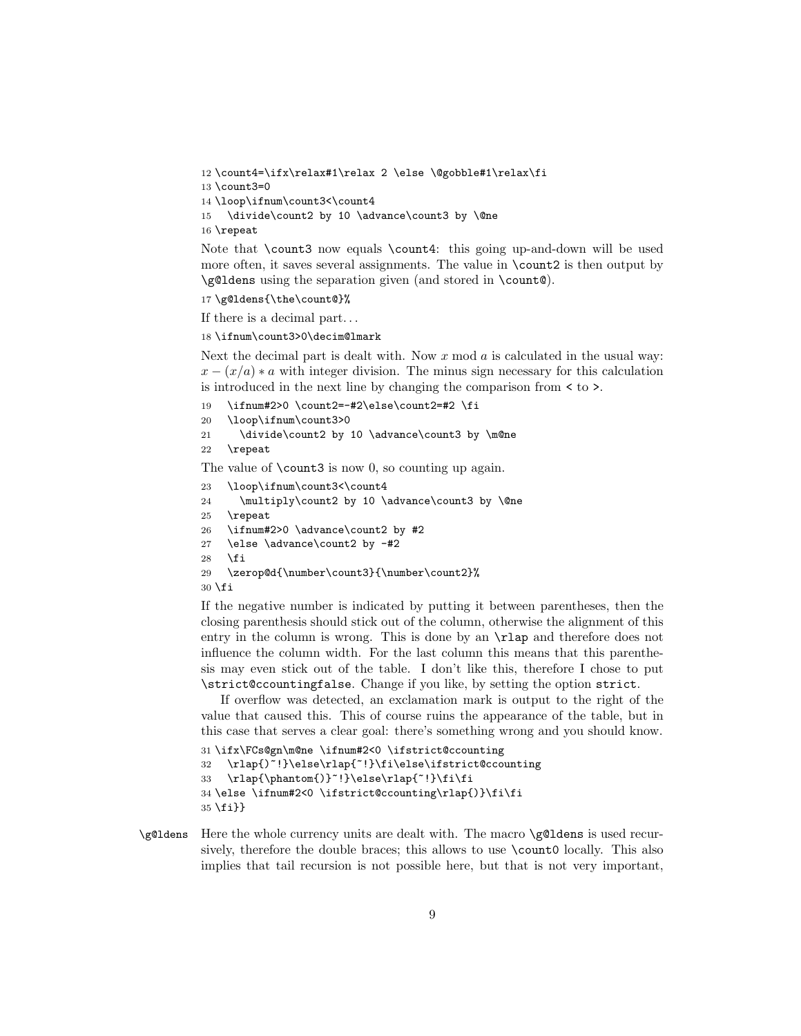```
12 \count4=\ifx\relax#1\relax 2 \else \@gobble#1\relax\fi
13 \count3=0
14 \loop\ifnum\count3<\count4
15 \divide\count2 by 10 \advance\count3 by \@ne
16 \repeat
```
Note that \count3 now equals \count4: this going up-and-down will be used more often, it saves several assignments. The value in \count2 is then output by \g@ldens using the separation given (and stored in \count@).

```
17 \g@ldens{\the\count@}%
```
If there is a decimal part. . .

18 \ifnum\count3>0\decim@lmark

Next the decimal part is dealt with. Now  $x \mod a$  is calculated in the usual way:  $x - (x/a) * a$  with integer division. The minus sign necessary for this calculation is introduced in the next line by changing the comparison from < to >.

```
19 \ifnum#2>0 \count2=-#2\else\count2=#2 \fi
```
20 \loop\ifnum\count3>0

```
21 \divide\count2 by 10 \advance\count3 by \m@ne
```

```
22 \repeat
```
The value of  $\count3$  is now 0, so counting up again.

```
23 \loop\ifnum\count3<\count4
```

```
24 \multiply\count2 by 10 \advance\count3 by \@ne
```

```
25 \repeat
```

```
26 \ifnum#2>0 \advance\count2 by #2
```

```
27 \else \advance\count2 by -#2
```

```
28 \{f_i\}
```

```
29 \zerop@d{\number\count3}{\number\count2}%
```
 $30 \text{ } \text{ } 15$ 

If the negative number is indicated by putting it between parentheses, then the closing parenthesis should stick out of the column, otherwise the alignment of this entry in the column is wrong. This is done by an \rlap and therefore does not influence the column width. For the last column this means that this parenthesis may even stick out of the table. I don't like this, therefore I chose to put \strict@ccountingfalse. Change if you like, by setting the option strict.

If overflow was detected, an exclamation mark is output to the right of the value that caused this. This of course ruins the appearance of the table, but in this case that serves a clear goal: there's something wrong and you should know.

```
31 \ifx\FCs@gn\m@ne \ifnum#2<0 \ifstrict@ccounting
32 \rlap{)~!}\else\rlap{~!}\fi\else\ifstrict@ccounting
33 \rlap{\phantom{)}~!}\else\rlap{~!}\fi\fi
34 \else \ifnum#2<0 \ifstrict@ccounting\rlap{)}\fi\fi
35 \fi}}
```
\g@ldens Here the whole currency units are dealt with. The macro \g@ldens is used recursively, therefore the double braces; this allows to use  $\count0$  locally. This also implies that tail recursion is not possible here, but that is not very important,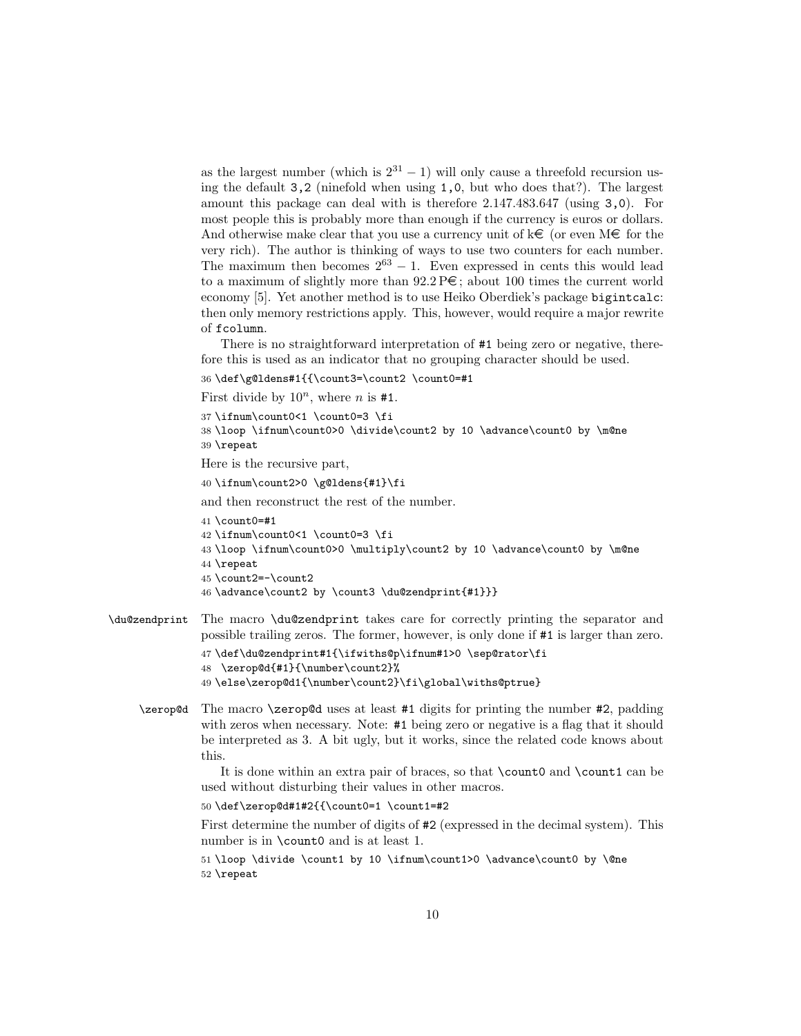as the largest number (which is  $2^{31} - 1$ ) will only cause a threefold recursion using the default 3,2 (ninefold when using 1,0, but who does that?). The largest amount this package can deal with is therefore 2.147.483.647 (using 3,0). For most people this is probably more than enough if the currency is euros or dollars. And otherwise make clear that you use a currency unit of  $k\infty$  (or even  $M\infty$  for the very rich). The author is thinking of ways to use two counters for each number. The maximum then becomes  $2^{63} - 1$ . Even expressed in cents this would lead to a maximum of slightly more than  $92.2 \text{ P}\epsilon$ ; about 100 times the current world economy [\[5\]](#page-22-4). Yet another method is to use Heiko Oberdiek's package bigintcalc: then only memory restrictions apply. This, however, would require a major rewrite of fcolumn.

There is no straightforward interpretation of #1 being zero or negative, therefore this is used as an indicator that no grouping character should be used.

```
36 \def\g@ldens#1{{\count3=\count2 \count0=#1
```
First divide by  $10^n$ , where *n* is #1.

```
37 \ifnum\count0<1 \count0=3 \fi
```

```
38 \loop \ifnum\count0>0 \divide\count2 by 10 \advance\count0 by \m@ne
39 \repeat
```
Here is the recursive part,

```
40 \ifnum\count2>0 \g@ldens{#1}\fi
```
and then reconstruct the rest of the number.

```
41 \count0=#1
42 \ifnum\count0<1 \count0=3 \fi
43 \loop \ifnum\count0>0 \multiply\count2 by 10 \advance\count0 by \m@ne
44 \repeat
45 \count2=-\count2
46 \advance\count2 by \count3 \du@zendprint{#1}}}
```
\du@zendprint The macro \du@zendprint takes care for correctly printing the separator and possible trailing zeros. The former, however, is only done if #1 is larger than zero.

```
47 \def\du@zendprint#1{\ifwiths@p\ifnum#1>0 \sep@rator\fi
48 \zerop@d{#1}{\number\count2}%
49 \else\zerop@d1{\number\count2}\fi\global\withs@ptrue}
```
\zerop@d The macro \zerop@d uses at least #1 digits for printing the number #2, padding with zeros when necessary. Note: #1 being zero or negative is a flag that it should be interpreted as 3. A bit ugly, but it works, since the related code knows about this.

> It is done within an extra pair of braces, so that \count0 and \count1 can be used without disturbing their values in other macros.

50 \def\zerop@d#1#2{{\count0=1 \count1=#2

First determine the number of digits of #2 (expressed in the decimal system). This number is in \count0 and is at least 1.

51 \loop \divide \count1 by 10 \ifnum\count1>0 \advance\count0 by \@ne 52 \repeat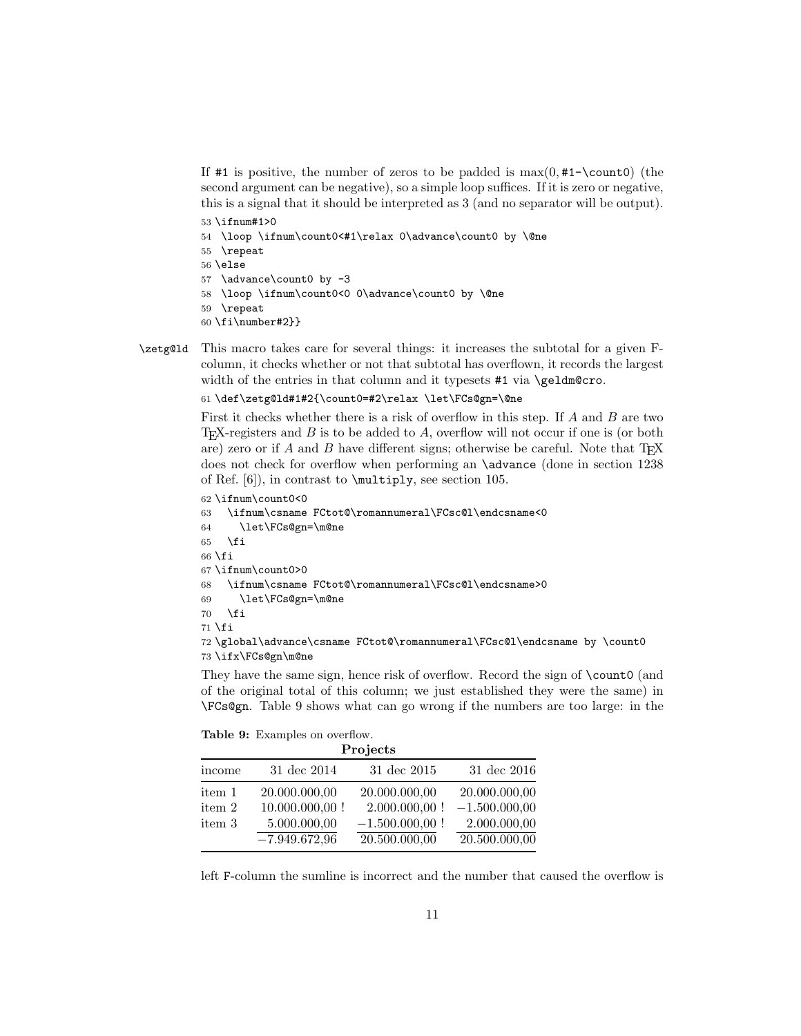If #1 is positive, the number of zeros to be padded is  $max(0, #1-\text{count0})$  (the second argument can be negative), so a simple loop suffices. If it is zero or negative, this is a signal that it should be interpreted as 3 (and no separator will be output).

- 53 \ifnum#1>0
- 54 \loop \ifnum\count0<#1\relax 0\advance\count0 by \@ne
- 55 \repeat
- 56 \else
- 57 \advance\count0 by -3
- 58 \loop \ifnum\count0<0 0\advance\count0 by \@ne
- 59 \repeat
- 60 \fi\number#2}}
- \zetg@ld This macro takes care for several things: it increases the subtotal for a given Fcolumn, it checks whether or not that subtotal has overflown, it records the largest width of the entries in that column and it typesets #1 via \geldm@cro.

61 \def\zetg@ld#1#2{\count0=#2\relax \let\FCs@gn=\@ne

First it checks whether there is a risk of overflow in this step. If A and B are two T<sub>EX</sub>-registers and  $B$  is to be added to  $A$ , overflow will not occur if one is (or both are) zero or if A and B have different signs; otherwise be careful. Note that  $T_{\text{F}}X$ does not check for overflow when performing an \advance (done in section 1238 of Ref. [\[6\]](#page-22-5)), in contrast to \multiply, see section 105.

```
62 \ifnum\count0<0
63 \ifnum\csname FCtot@\romannumeral\FCsc@l\endcsname<0
64 \let\FCs@gn=\m@ne
65 \overline{f}66 \fi
67 \ifnum\count0>0
68 \ifnum\csname FCtot@\romannumeral\FCsc@l\endcsname>0
69 \let\FCs@gn=\m@ne
70 \quad \text{if}71 \fi72 \global\advance\csname FCtot@\romannumeral\FCsc@l\endcsname by \count0
73 \ifx\FCs@gn\m@ne
```
They have the same sign, hence risk of overflow. Record the sign of  $\count0$  (and of the original total of this column; we just established they were the same) in \FCs@gn. Table [9](#page-10-0) shows what can go wrong if the numbers are too large: in the

<span id="page-10-0"></span>

|  | <b>Table 9:</b> Examples on overflow. |                |
|--|---------------------------------------|----------------|
|  |                                       | $\mathbf{r}$ . |

|        | <b>F</b> rojects  |                   |                 |  |
|--------|-------------------|-------------------|-----------------|--|
| income | 31 dec 2014       | $31$ dec $2015$   | 31 dec 2016     |  |
| item 1 | 20.000.000,00     | 20.000.000,00     | 20.000.000,00   |  |
| item 2 | $10.000.000,00$ ! | $2.000.000,00$ !  | $-1.500.000,00$ |  |
| item 3 | 5.000.000,00      | $-1.500.000,00$ ! | 2.000.000,00    |  |
|        | $-7.949.672,96$   | 20.500.000,00     | 20.500.000,00   |  |

left F-column the sumline is incorrect and the number that caused the overflow is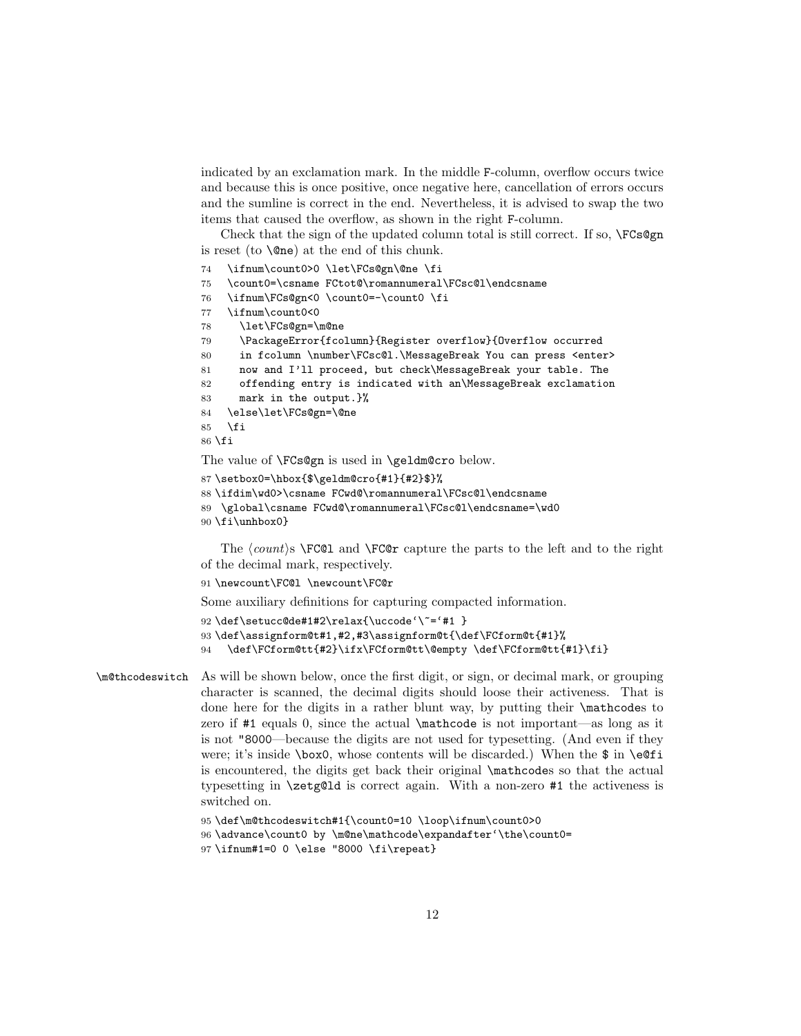indicated by an exclamation mark. In the middle F-column, overflow occurs twice and because this is once positive, once negative here, cancellation of errors occurs and the sumline is correct in the end. Nevertheless, it is advised to swap the two items that caused the overflow, as shown in the right F-column.

Check that the sign of the updated column total is still correct. If so, \FCs@gn is reset (to  $\langle$ One) at the end of this chunk.

- 74 \ifnum\count0>0 \let\FCs@gn\@ne \fi
- 75 \count0=\csname FCtot@\romannumeral\FCsc@l\endcsname
- 76 \ifnum\FCs@gn<0 \count0=-\count0 \fi
- 77 \ifnum\count0<0
- 78 \let\FCs@gn=\m@ne
- 79 \PackageError{fcolumn}{Register overflow}{Overflow occurred
- 80 in fcolumn \number\FCsc@l.\MessageBreak You can press <enter>
- 81 now and I'll proceed, but check\MessageBreak your table. The
- 82 offending entry is indicated with an\MessageBreak exclamation
- 83 mark in the output.}%
- 84 \else\let\FCs@gn=\@ne
- $85$   $\forall$ fi
- 86 \fi

The value of **\FCs@gn** is used in **\geldm@cro** below.

```
87 \setbox0=\hbox{$\geldm@cro{#1}{#2}$}%
```
- 88 \ifdim\wd0>\csname FCwd@\romannumeral\FCsc@l\endcsname
- 89 \global\csname FCwd@\romannumeral\FCsc@l\endcsname=\wd0
- 90 \fi\unhbox0}

The  $\langle count \rangle$   $\text{FC@1}$  and  $\text{FC@r}$  capture the parts to the left and to the right of the decimal mark, respectively.

91 \newcount\FC@l \newcount\FC@r

Some auxiliary definitions for capturing compacted information.

```
92\def\setucc@de#1#2\relax{\uccode'\~='#1 }
93 \def\assignform@t#1,#2,#3\assignform@t{\def\FCform@t{#1}%
94 \def\FCform@tt{#2}\ifx\FCform@tt\@empty \def\FCform@tt{#1}\fi}
```
\m@thcodeswitch As will be shown below, once the first digit, or sign, or decimal mark, or grouping character is scanned, the decimal digits should loose their activeness. That is done here for the digits in a rather blunt way, by putting their \mathcodes to zero if #1 equals 0, since the actual \mathcode is not important—as long as it is not "8000—because the digits are not used for typesetting. (And even if they were; it's inside  $\boxtimes 0$ , whose contents will be discarded.) When the \$ in  $\eeff$ is encountered, the digits get back their original \mathcodes so that the actual typesetting in \zetg@ld is correct again. With a non-zero #1 the activeness is switched on.

```
95 \def\m@thcodeswitch#1{\count0=10 \loop\ifnum\count0>0
```

```
96 \advance\count0 by \m@ne\mathcode\expandafter'\the\count0=
```

```
97 \ifnum#1=0 0 \else "8000 \fi\repeat}
```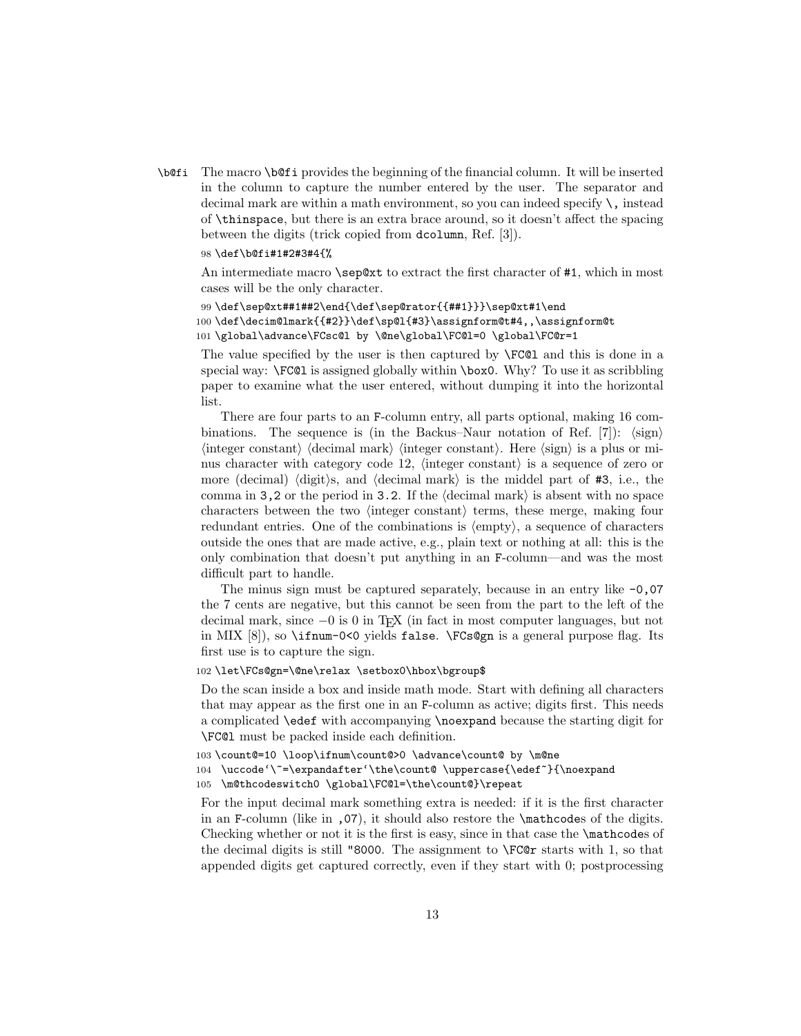\b@fi The macro \b@fi provides the beginning of the financial column. It will be inserted in the column to capture the number entered by the user. The separator and decimal mark are within a math environment, so you can indeed specify  $\setminus$ , instead of \thinspace, but there is an extra brace around, so it doesn't affect the spacing between the digits (trick copied from dcolumn, Ref. [\[3\]](#page-22-2)).

#### 98 \def\b@fi#1#2#3#4{%

An intermediate macro \sep@xt to extract the first character of #1, which in most cases will be the only character.

```
99 \def\sep@xt##1##2\end{\def\sep@rator{{##1}}}\sep@xt#1\end
100 \def\decim@lmark{{#2}}\def\sp@l{#3}\assignform@t#4,,\assignform@t
101 \global\advance\FCsc@l by \@ne\global\FC@l=0 \global\FC@r=1
```
The value specified by the user is then captured by \FC@l and this is done in a special way: \FC@l is assigned globally within \box0. Why? To use it as scribbling paper to examine what the user entered, without dumping it into the horizontal list.

There are four parts to an F-column entry, all parts optional, making 16 com-binations. The sequence is (in the Backus–Naur notation of Ref. [\[7\]](#page-22-6)):  $\langle sign \rangle$  $\langle$  integer constant $\rangle$   $\langle$  decimal mark $\rangle$   $\langle$  integer constant $\rangle$ . Here  $\langle$  sign $\rangle$  is a plus or minus character with category code 12,  $\langle$  integer constant $\rangle$  is a sequence of zero or more (decimal) (digit)s, and (decimal mark) is the middel part of  $#3$ , i.e., the comma in 3,2 or the period in 3.2. If the  $\langle$  decimal mark $\rangle$  is absent with no space characters between the two  $\langle$  integer constant $\rangle$  terms, these merge, making four redundant entries. One of the combinations is  $\langle \text{empty} \rangle$ , a sequence of characters outside the ones that are made active, e.g., plain text or nothing at all: this is the only combination that doesn't put anything in an F-column—and was the most difficult part to handle.

The minus sign must be captured separately, because in an entry like  $-0.07$ the 7 cents are negative, but this cannot be seen from the part to the left of the decimal mark, since −0 is 0 in TEX (in fact in most computer languages, but not in MIX  $[8]$ , so \ifnum-0<0 yields false. \FCs@gn is a general purpose flag. Its first use is to capture the sign.

#### 102 \let\FCs@gn=\@ne\relax \setbox0\hbox\bgroup\$

Do the scan inside a box and inside math mode. Start with defining all characters that may appear as the first one in an F-column as active; digits first. This needs a complicated \edef with accompanying \noexpand because the starting digit for \FC@l must be packed inside each definition.

103 \count@=10 \loop\ifnum\count@>0 \advance\count@ by \m@ne

104 \uccode'\~=\expandafter'\the\count@ \uppercase{\edef~}{\noexpand

105 \m@thcodeswitch0 \global\FC@l=\the\count@}\repeat

For the input decimal mark something extra is needed: if it is the first character in an F-column (like in ,07), it should also restore the \mathcodes of the digits. Checking whether or not it is the first is easy, since in that case the \mathcodes of the decimal digits is still "8000. The assignment to \FC@r starts with 1, so that appended digits get captured correctly, even if they start with 0; postprocessing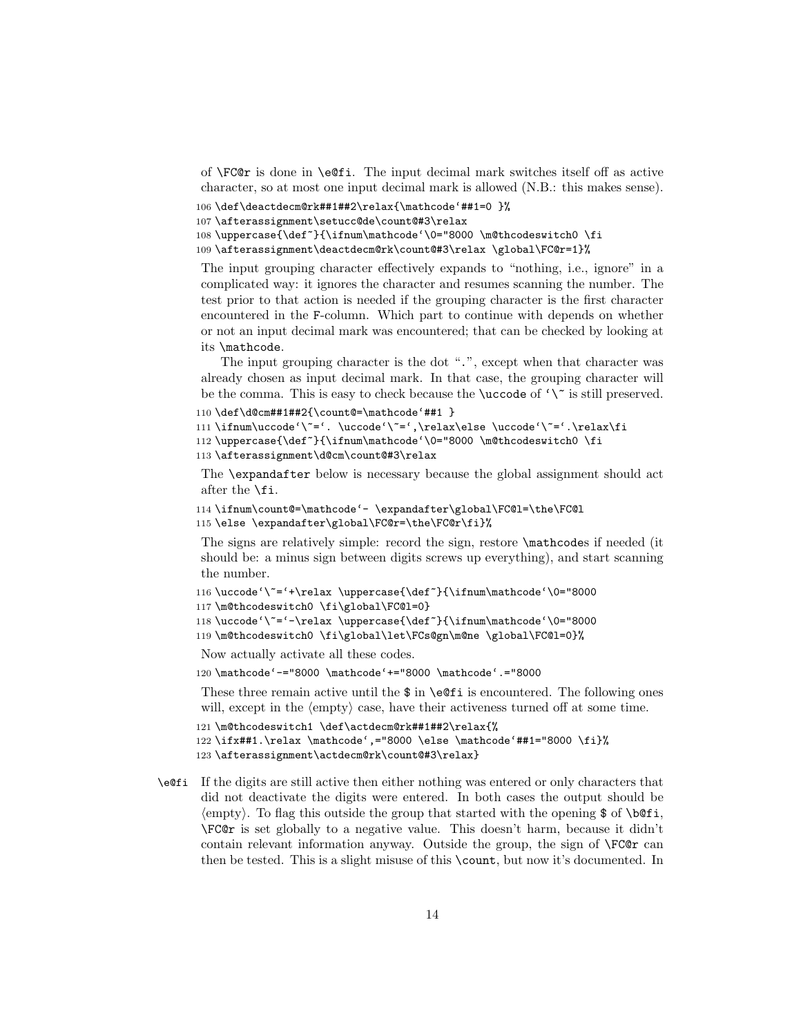of  $\FCor$  is done in  $\ee$ i. The input decimal mark switches itself off as active character, so at most one input decimal mark is allowed (N.B.: this makes sense).

```
106 \def\deactdecm@rk##1##2\relax{\mathcode'##1=0 }%
```

```
107 \afterassignment\setucc@de\count@#3\relax
```

```
108 \uppercase{\def~}{\ifnum\mathcode'\0="8000 \m@thcodeswitch0 \fi
```
109 \afterassignment\deactdecm@rk\count@#3\relax \global\FC@r=1}%

The input grouping character effectively expands to "nothing, i.e., ignore" in a complicated way: it ignores the character and resumes scanning the number. The test prior to that action is needed if the grouping character is the first character encountered in the F-column. Which part to continue with depends on whether or not an input decimal mark was encountered; that can be checked by looking at its \mathcode.

The input grouping character is the dot ".", except when that character was already chosen as input decimal mark. In that case, the grouping character will be the comma. This is easy to check because the  $\ucco$ de of ' $\'$  is still preserved.

```
110 \def\d@cm##1##2{\count@=\mathcode'##1 }
```

```
111\ifnum\uccode'\"='.\uccode'\"=',\relax\else \uccode'\"='.\relax\fi
```
112 \uppercase{\def~}{\ifnum\mathcode'\0="8000 \m@thcodeswitch0 \fi

```
113 \afterassignment\d@cm\count@#3\relax
```
The \expandafter below is necessary because the global assignment should act after the \fi.

```
114 \ifnum\count@=\mathcode'- \expandafter\global\FC@l=\the\FC@l
115 \else \expandafter\global\FC@r=\the\FC@r\fi}%
```
The signs are relatively simple: record the sign, restore \mathcodes if needed (it should be: a minus sign between digits screws up everything), and start scanning the number.

```
116 \uccode'\~='+\relax \uppercase{\def~}{\ifnum\mathcode'\0="8000
```

```
117 \m@thcodeswitch0 \fi\global\FC@l=0}
```

```
118 \uccode'\~='-\relax \uppercase{\def~}{\ifnum\mathcode'\0="8000
```
119 \m@thcodeswitch0 \fi\global\let\FCs@gn\m@ne \global\FC@l=0}%

Now actually activate all these codes.

120 \mathcode'-="8000 \mathcode'+="8000 \mathcode'.="8000

These three remain active until the  $\$ in **\e**Qfi is encountered. The following ones will, except in the  $\langle \text{empty} \rangle$  case, have their activeness turned off at some time.

```
121 \m@thcodeswitch1 \def\actdecm@rk##1##2\relax{%
122 \ifx##1.\relax \mathcode',="8000 \else \mathcode'##1="8000 \fi}%
123 \afterassignment\actdecm@rk\count@#3\relax}
```

```
\e@fi If the digits are still active then either nothing was entered or only characters that
       did not deactivate the digits were entered. In both cases the output should be
        \langle \text{empty} \rangle. To flag this outside the group that started with the opening $ of \b@fi,
       \FC@r is set globally to a negative value. This doesn't harm, because it didn't
       contain relevant information anyway. Outside the group, the sign of \FC@r can
       then be tested. This is a slight misuse of this \count, but now it's documented. In
```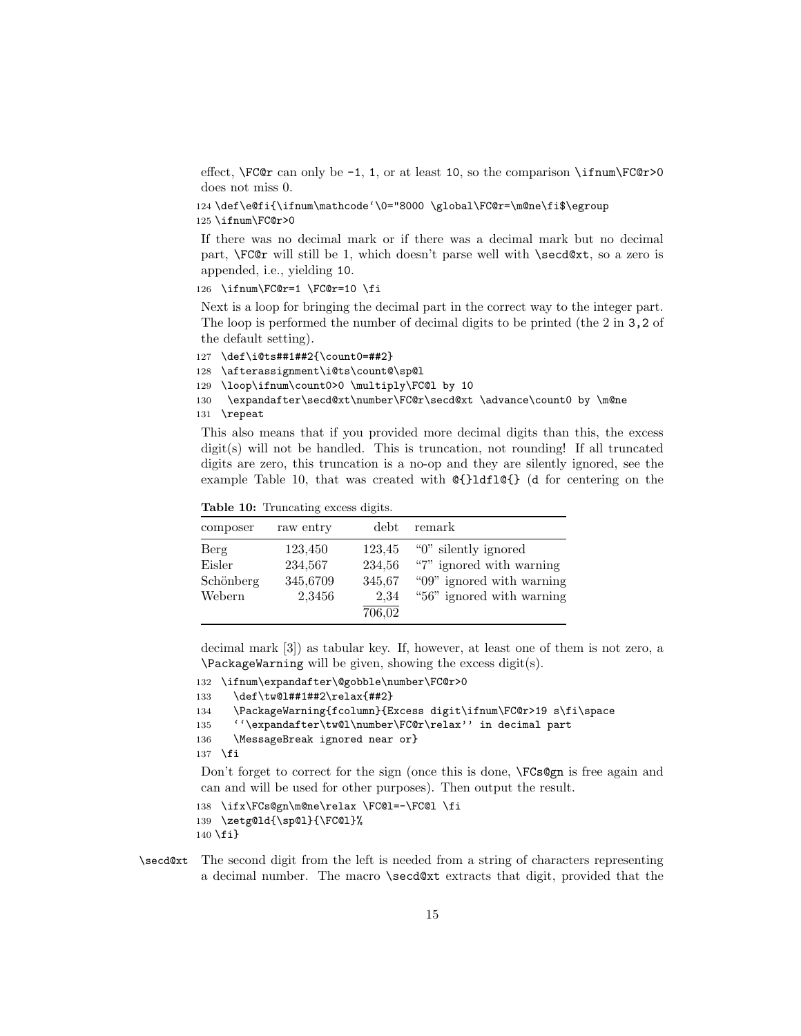effect,  $\FCor}$  can only be -1, 1, or at least 10, so the comparison  $\ifmmode\text{ifnum}\cdot\text{FCor}^2\big]$ does not miss 0.

```
124 \def\e@fi{\ifnum\mathcode'\0="8000 \global\FC@r=\m@ne\fi$\egroup
125 \ifnum\FC@r>0
```
If there was no decimal mark or if there was a decimal mark but no decimal part, \FC@r will still be 1, which doesn't parse well with \secd@xt, so a zero is appended, i.e., yielding 10.

126 \ifnum\FC@r=1 \FC@r=10 \fi

Next is a loop for bringing the decimal part in the correct way to the integer part. The loop is performed the number of decimal digits to be printed (the 2 in 3,2 of the default setting).

```
127 \def\i@ts##1##2{\count0=##2}
128 \afterassignment\i@ts\count@\sp@l
129 \loop\ifnum\count0>0 \multiply\FC@l by 10
130 \expandafter\secd@xt\number\FC@r\secd@xt \advance\count0 by \m@ne
131 \repeat
```
This also means that if you provided more decimal digits than this, the excess  $digit(s)$  will not be handled. This is truncation, not rounding! If all truncated digits are zero, this truncation is a no-op and they are silently ignored, see the example Table [10,](#page-14-0) that was created with @{}ldfl@{} (d for centering on the

<span id="page-14-0"></span>Table 10: Truncating excess digits.

| composer                              | raw entry                                | debt                                         | remark                                                                                                     |
|---------------------------------------|------------------------------------------|----------------------------------------------|------------------------------------------------------------------------------------------------------------|
| Berg<br>Eisler<br>Schönberg<br>Webern | 123,450<br>234,567<br>345,6709<br>2,3456 | 123,45<br>234,56<br>345,67<br>2,34<br>706,02 | "0" silently ignored<br>"7" ignored with warning<br>"09" ignored with warning<br>"56" ignored with warning |

decimal mark [\[3\]](#page-22-2)) as tabular key. If, however, at least one of them is not zero, a \PackageWarning will be given, showing the excess digit(s).

```
132 \ifnum\expandafter\@gobble\number\FC@r>0
```

```
133 \def\tw@l##1##2\relax{##2}
```

```
134 \PackageWarning{fcolumn}{Excess digit\ifnum\FC@r>19 s\fi\space
```
135 ''\expandafter\tw@l\number\FC@r\relax'' in decimal part

```
136 \MessageBreak ignored near or}
```
137 \fi

Don't forget to correct for the sign (once this is done,  $\FCs@gn$  is free again and can and will be used for other purposes). Then output the result.

```
138 \ifx\FCs@gn\m@ne\relax \FC@l=-\FC@l \fi
139 \zetg@ld{\sp@l}{\FC@l}%
140 \{fi\}
```
\secd@xt The second digit from the left is needed from a string of characters representing a decimal number. The macro \secd@xt extracts that digit, provided that the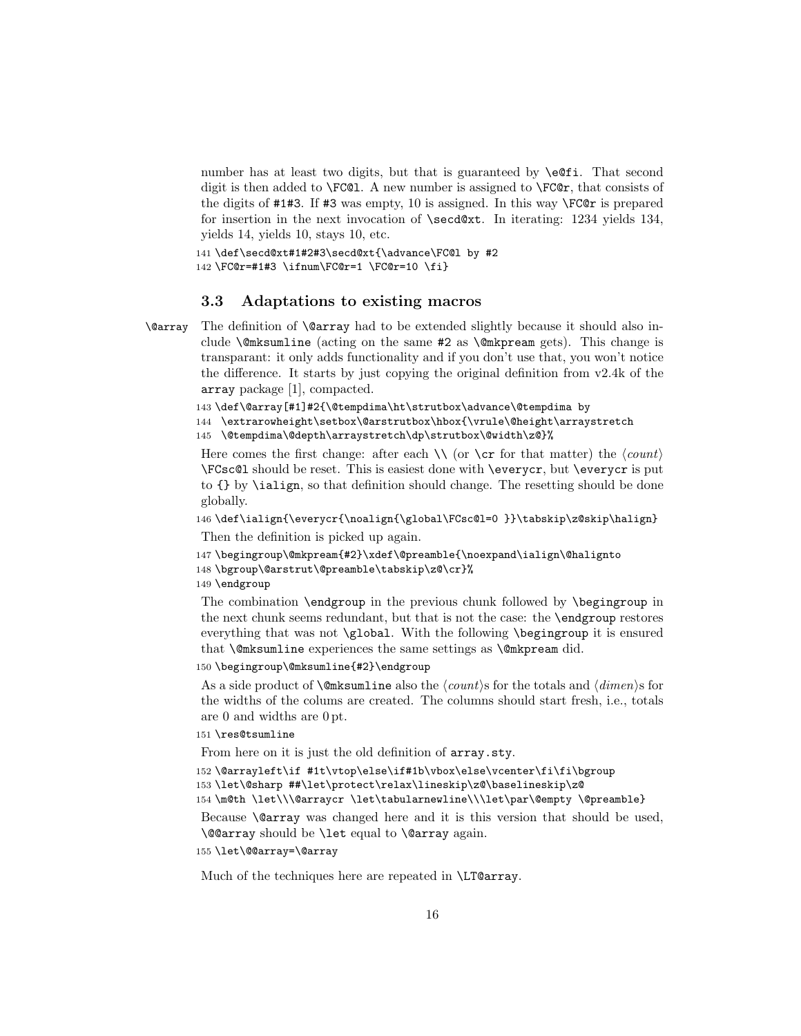number has at least two digits, but that is guaranteed by **\e**@fi. That second digit is then added to  $\FC@1$ . A new number is assigned to  $\FC@r$ , that consists of the digits of #1#3. If #3 was empty, 10 is assigned. In this way \FC@r is prepared for insertion in the next invocation of \secd@xt. In iterating: 1234 yields 134, yields 14, yields 10, stays 10, etc.

141 \def\secd@xt#1#2#3\secd@xt{\advance\FC@l by #2 142 \FC@r=#1#3 \ifnum\FC@r=1 \FC@r=10 \fi}

#### 3.3 Adaptations to existing macros

\@array The definition of \@array had to be extended slightly because it should also include \@mksumline (acting on the same #2 as \@mkpream gets). This change is transparant: it only adds functionality and if you don't use that, you won't notice the difference. It starts by just copying the original definition from v2.4k of the array package [\[1\]](#page-22-0), compacted.

143 \def\@array[#1]#2{\@tempdima\ht\strutbox\advance\@tempdima by

144 \extrarowheight\setbox\@arstrutbox\hbox{\vrule\@height\arraystretch

145 \@tempdima\@depth\arraystretch\dp\strutbox\@width\z@}%

Here comes the first change: after each  $\setminus \setminus$  (or  $\setminus \text{c}$  for that matter) the  $\langle count \rangle$ \FCsc@l should be reset. This is easiest done with \everycr, but \everycr is put to {} by \ialign, so that definition should change. The resetting should be done globally.

146 \def\ialign{\everycr{\noalign{\global\FCsc@l=0 }}\tabskip\z@skip\halign} Then the definition is picked up again.

```
147 \begingroup\@mkpream{#2}\xdef\@preamble{\noexpand\ialign\@halignto
```

```
148 \bgroup\@arstrut\@preamble\tabskip\z@\cr}%
```
149 \endgroup

The combination \endgroup in the previous chunk followed by \begingroup in the next chunk seems redundant, but that is not the case: the \endgroup restores everything that was not \global. With the following \begingroup it is ensured that \@mksumline experiences the same settings as \@mkpream did.

#### 150 \begingroup\@mksumline{#2}\endgroup

As a side product of **\@mksumline** also the  $\langle count \rangle$ s for the totals and  $\langle dimen \rangle$ s for the widths of the colums are created. The columns should start fresh, i.e., totals are 0 and widths are 0 pt.

#### 151 \res@tsumline

From here on it is just the old definition of array.sty.

152 \@arrayleft\if #1t\vtop\else\if#1b\vbox\else\vcenter\fi\fi\bgroup

153 \let\@sharp ##\let\protect\relax\lineskip\z@\baselineskip\z@

154 \m@th \let\\\@arraycr \let\tabularnewline\\\let\par\@empty \@preamble}

Because \@array was changed here and it is this version that should be used, \@@array should be \let equal to \@array again.

#### 155 \let\@@array=\@array

Much of the techniques here are repeated in \LT@array.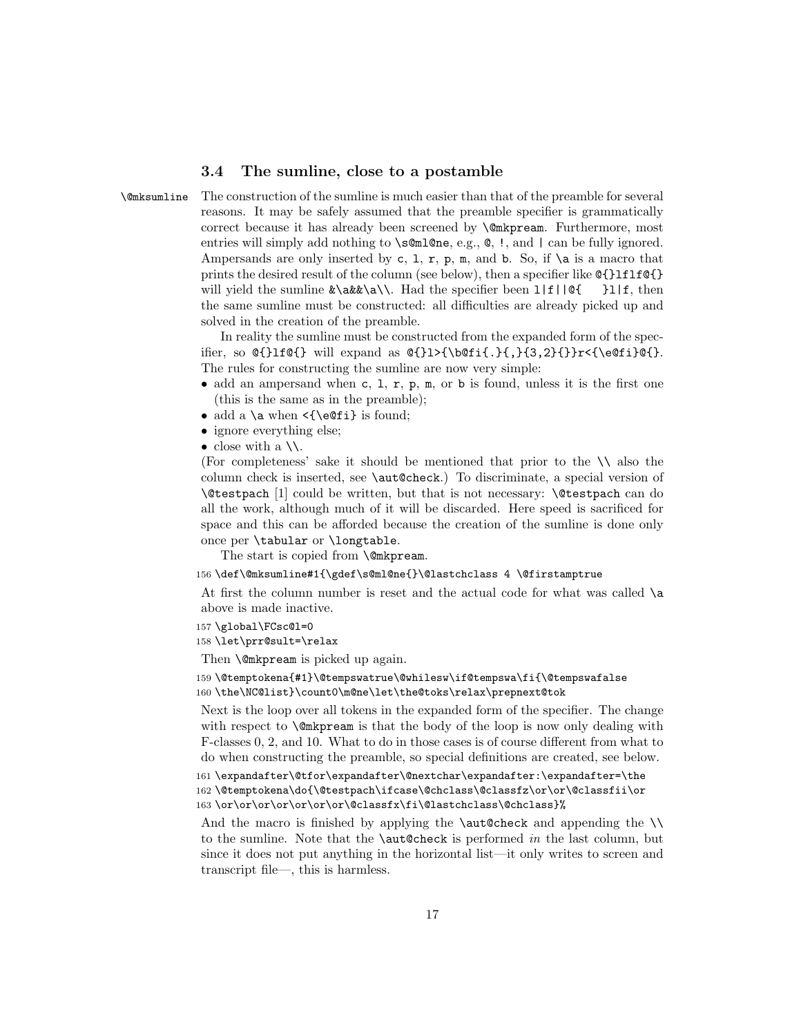#### 3.4 The sumline, close to a postamble

\@mksumline The construction of the sumline is much easier than that of the preamble for several reasons. It may be safely assumed that the preamble specifier is grammatically correct because it has already been screened by \@mkpream. Furthermore, most entries will simply add nothing to \s@ml@ne, e.g.,  $\mathbf{\&}$ , !, and | can be fully ignored. Ampersands are only inserted by c, 1, r, p, m, and b. So, if  $\a$  is a macro that prints the desired result of the column (see below), then a specifier like  $\mathcal{Q}$ {}1f1f $\mathcal{Q}$ {} will yield the sumline  $\&\a\&\a\.\$ . Had the specifier been  $1|f||@{ \quad}1|f$ , then the same sumline must be constructed: all difficulties are already picked up and solved in the creation of the preamble.

> In reality the sumline must be constructed from the expanded form of the specifier, so  $\ell_{\text{rel}}$  will expand as  $\ell_{\text{rel}}$ .  $\{\}$ ,  $\{3,2\}\}$ r<{\e@fi}@{}. The rules for constructing the sumline are now very simple:

- add an ampersand when c, 1, r, p, m, or b is found, unless it is the first one (this is the same as in the preamble);
- add a \a when  $\{\setminus eOfi\}$  is found;
- ignore everything else;
- close with a  $\setminus$ .

(For completeness' sake it should be mentioned that prior to the  $\setminus \setminus$  also the column check is inserted, see \aut@check.) To discriminate, a special version of \@testpach [\[1\]](#page-22-0) could be written, but that is not necessary: \@testpach can do all the work, although much of it will be discarded. Here speed is sacrificed for space and this can be afforded because the creation of the sumline is done only once per \tabular or \longtable.

The start is copied from **\@mkpream.** 

156 \def\@mksumline#1{\gdef\s@ml@ne{}\@lastchclass 4 \@firstamptrue

At first the column number is reset and the actual code for what was called \a above is made inactive.

- 157 \global\FCsc@l=0
- 158 \let\prr@sult=\relax

Then **\@mkpream** is picked up again.

159 \@temptokena{#1}\@tempswatrue\@whilesw\if@tempswa\fi{\@tempswafalse 160 \the\NC@list}\count0\m@ne\let\the@toks\relax\prepnext@tok

Next is the loop over all tokens in the expanded form of the specifier. The change with respect to  $\Omega$  mkpream is that the body of the loop is now only dealing with F-classes 0, 2, and 10. What to do in those cases is of course different from what to do when constructing the preamble, so special definitions are created, see below.

161 \expandafter\@tfor\expandafter\@nextchar\expandafter:\expandafter=\the 162 \@temptokena\do{\@testpach\ifcase\@chclass\@classfz\or\or\@classfii\or 163 \or\or\or\or\or\or\or\@classfx\fi\@lastchclass\@chclass}%

And the macro is finished by applying the  $\lambda$ ut@check and appending the  $\lambda$ to the sumline. Note that the  $\a$ ut@check is performed *in* the last column, but since it does not put anything in the horizontal list—it only writes to screen and transcript file—, this is harmless.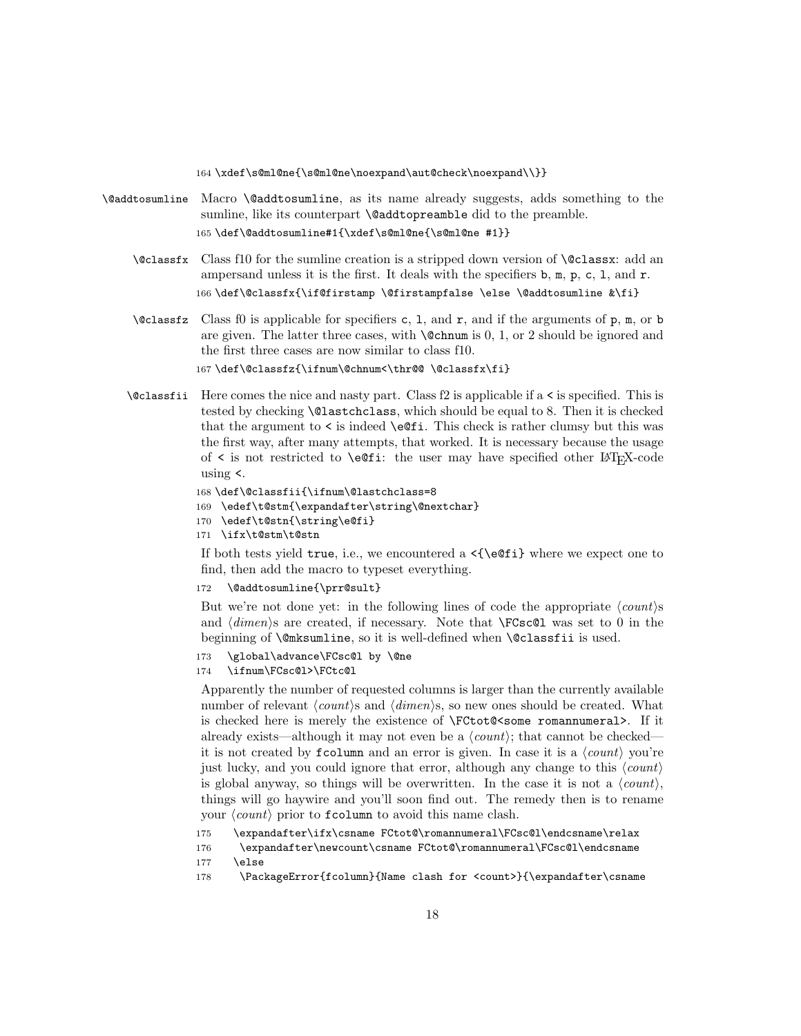164 \xdef\s@ml@ne{\s@ml@ne\noexpand\aut@check\noexpand\\}}

- \@addtosumline Macro \@addtosumline, as its name already suggests, adds something to the sumline, like its counterpart **\@addtopreamble** did to the preamble. 165 \def\@addtosumline#1{\xdef\s@ml@ne{\s@ml@ne #1}}
	- \@classfx Class f10 for the sumline creation is a stripped down version of \@classx: add an ampersand unless it is the first. It deals with the specifiers b, m, p, c, l, and r. 166 \def\@classfx{\if@firstamp \@firstampfalse \else \@addtosumline &\fi}
	- $\cal Q$ classfz Class f0 is applicable for specifiers c, 1, and r, and if the arguments of p, m, or b are given. The latter three cases, with  $\mathcal{C}$ chnum is 0, 1, or 2 should be ignored and the first three cases are now similar to class f10. 167\def\@classfz{\ifnum\@chnum<\thr@@ \@classfx\fi}
	- \@classfii Here comes the nice and nasty part. Class f2 is applicable if a < is specified. This is tested by checking \@lastchclass, which should be equal to 8. Then it is checked that the argument to < is indeed \e@fi. This check is rather clumsy but this was the first way, after many attempts, that worked. It is necessary because the usage of  $\leq$  is not restricted to **\e**@fi: the user may have specified other L<sup>AT</sup>EX-code using <.

```
168 \def\@classfii{\ifnum\@lastchclass=8
169 \edef\t@stm{\expandafter\string\@nextchar}
170 \edef\t@stn{\string\e@fi}
```
171 \ifx\t@stm\t@stn

If both tests yield true, i.e., we encountered a  $\langle \{\text{eefi}\}$  where we expect one to find, then add the macro to typeset everything.

172 \@addtosumline{\prr@sult}

But we're not done yet: in the following lines of code the appropriate  $\langle count \rangle$ s and  $\langle dimen \rangle$ s are created, if necessary. Note that  $\FCsc@1$  was set to 0 in the beginning of \@mksumline, so it is well-defined when \@classfii is used.

```
173 \global\advance\FCsc@l by \@ne
```
174 \ifnum\FCsc@l>\FCtc@l

Apparently the number of requested columns is larger than the currently available number of relevant  $\langle count \rangle$ s and  $\langle dimen \rangle$ s, so new ones should be created. What is checked here is merely the existence of \FCtot@<some romannumeral>. If it already exists—although it may not even be a  $\langle count \rangle$ ; that cannot be checked it is not created by find the analysis of the state. In case it is a  $\langle count \rangle$  you're just lucky, and you could ignore that error, although any change to this  $\langle count \rangle$ is global anyway, so things will be overwritten. In the case it is not a  $\langle count \rangle$ , things will go haywire and you'll soon find out. The remedy then is to rename your  $\langle count \rangle$  prior to fcolumn to avoid this name clash.

- 175 \expandafter\ifx\csname FCtot@\romannumeral\FCsc@l\endcsname\relax
- 176 \expandafter\newcount\csname FCtot@\romannumeral\FCsc@l\endcsname
- 177 \else
- 178 \PackageError{fcolumn}{Name clash for <count>}{\expandafter\csname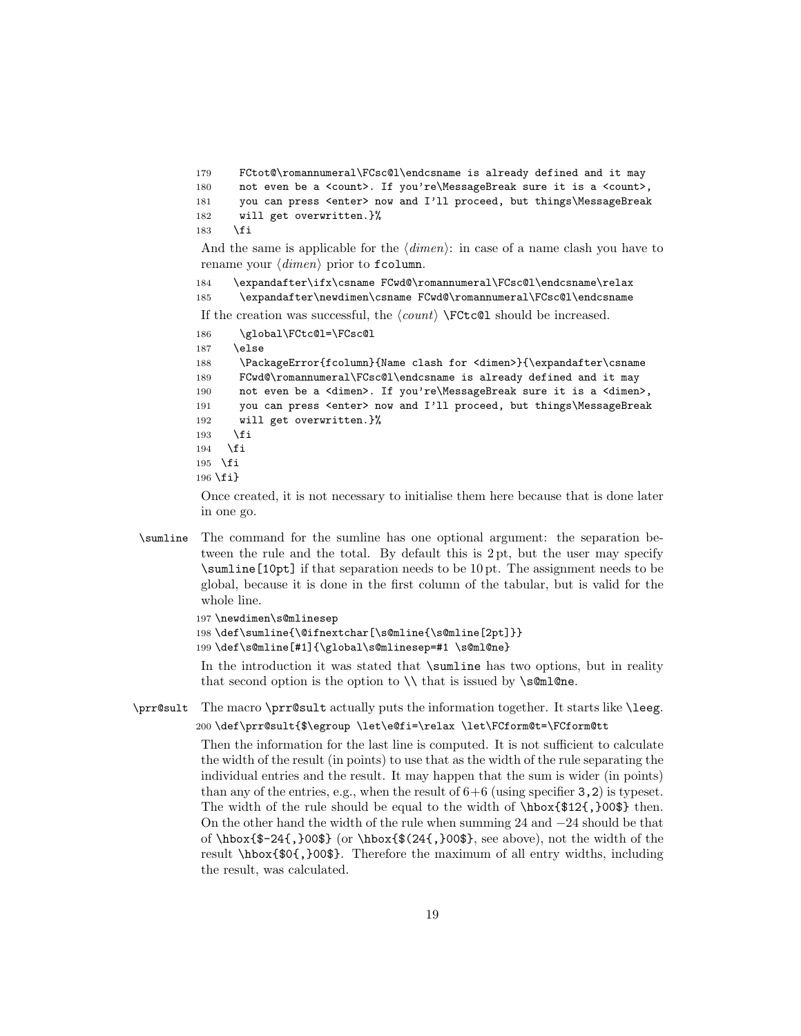```
179 FCtot@\romannumeral\FCsc@l\endcsname is already defined and it may
180 not even be a <count>. If you're\MessageBreak sure it is a <count>,
181 you can press <enter> now and I'll proceed, but things\MessageBreak
182 will get overwritten.}%
183 \fi
```
And the same is applicable for the  $\langle dimen \rangle$ : in case of a name clash you have to rename your  $\langle$  dimen<sub>}</sub> prior to fcolumn.

184 \expandafter\ifx\csname FCwd@\romannumeral\FCsc@l\endcsname\relax 185 \expandafter\newdimen\csname FCwd@\romannumeral\FCsc@l\endcsname

If the creation was successful, the  $\langle count \rangle$  \FCtc@l should be increased.

```
186 \global\FCtc@l=\FCsc@l
```
187 \else

```
188 \PackageError{fcolumn}{Name clash for <dimen>}{\expandafter\csname
189 FCwd@\romannumeral\FCsc@l\endcsname is already defined and it may
190 not even be a <dimen>. If you're\MessageBreak sure it is a <dimen>,
191 you can press <enter> now and I'll proceed, but things\MessageBreak
192 will get overwritten.}%
193 \fi
194 \fi
195 \fi
196 \fi}
```
Once created, it is not necessary to initialise them here because that is done later in one go.

\sumline The command for the sumline has one optional argument: the separation between the rule and the total. By default this is 2 pt, but the user may specify \sumline[10pt] if that separation needs to be 10 pt. The assignment needs to be global, because it is done in the first column of the tabular, but is valid for the whole line.

```
197 \newdimen\s@mlinesep
```

```
198 \def\sumline{\@ifnextchar[\s@mline{\s@mline[2pt]}}
```

```
199 \def\s@mline[#1]{\global\s@mlinesep=#1 \s@ml@ne}
```
In the introduction it was stated that  $\sum_{\text{sumline}}$  has two options, but in reality that second option is the option to  $\setminus \$  that is issued by  $\setminus$  s@ml@ne.

### \prr@sult The macro \prr@sult actually puts the information together. It starts like \leeg. 200 \def\prr@sult{\$\egroup \let\e@fi=\relax \let\FCform@t=\FCform@tt

Then the information for the last line is computed. It is not sufficient to calculate the width of the result (in points) to use that as the width of the rule separating the individual entries and the result. It may happen that the sum is wider (in points) than any of the entries, e.g., when the result of  $6+6$  (using specifier 3, 2) is typeset. The width of the rule should be equal to the width of  $\bmod$  \$12{,}00\$} then. On the other hand the width of the rule when summing 24 and −24 should be that of  $\hbar$ box{\$-24{,}00\$} (or  $\hbar$ box{\$(24{,}00\$}, see above), not the width of the result \hbox{\$0{,}00\$}. Therefore the maximum of all entry widths, including the result, was calculated.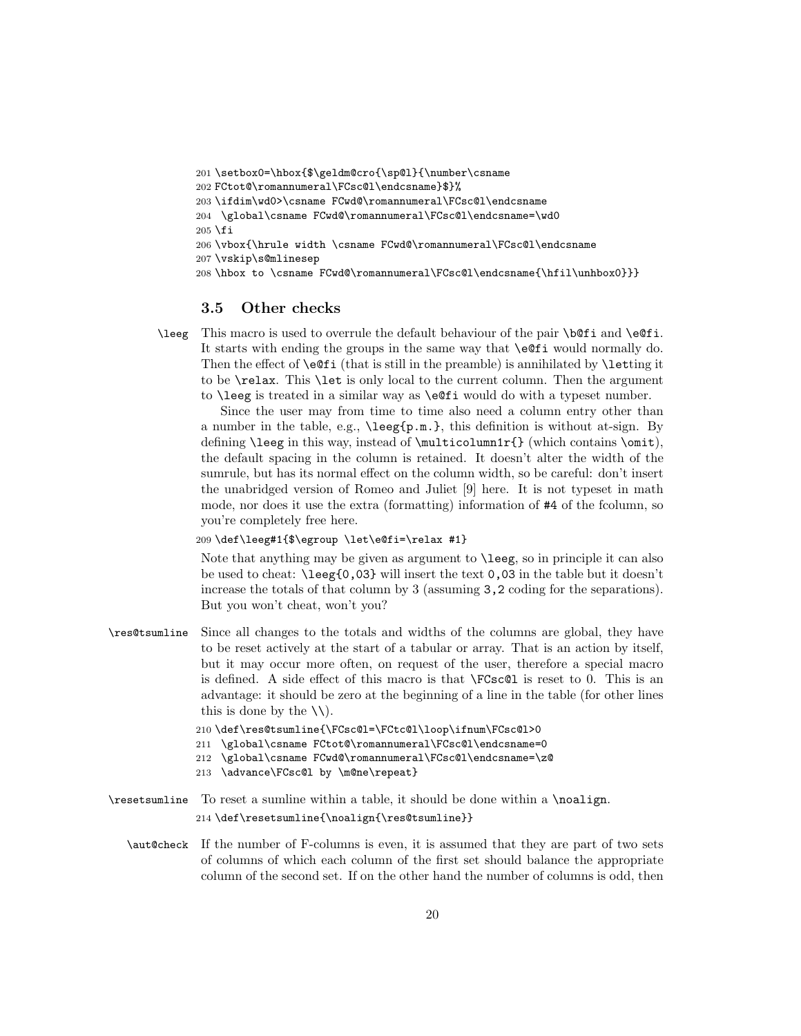201\setbox0=\hbox{\$\geldm@cro{\sp@l}{\number\csname FCtot@\romannumeral\FCsc@l\endcsname}\$}% \ifdim\wd0>\csname FCwd@\romannumeral\FCsc@l\endcsname \global\csname FCwd@\romannumeral\FCsc@l\endcsname=\wd0  $205$  \fi \vbox{\hrule width \csname FCwd@\romannumeral\FCsc@l\endcsname \vskip\s@mlinesep \hbox to \csname FCwd@\romannumeral\FCsc@l\endcsname{\hfil\unhbox0}}}

#### 3.5 Other checks

\leeg This macro is used to overrule the default behaviour of the pair \b@fi and \e@fi. It starts with ending the groups in the same way that \e@fi would normally do. Then the effect of  $\setminus$  eQfi (that is still in the preamble) is annihilated by  $\setminus$  letting it to be \relax. This \let is only local to the current column. Then the argument to \leeg is treated in a similar way as \e@fi would do with a typeset number.

Since the user may from time to time also need a column entry other than a number in the table, e.g., \leeg{p.m.}, this definition is without at-sign. By defining **\leeg** in this way, instead of  $\multicolumn{0}{\textrm{which contains } \textrm{ } }$ , the default spacing in the column is retained. It doesn't alter the width of the sumrule, but has its normal effect on the column width, so be careful: don't insert the unabridged version of Romeo and Juliet [\[9\]](#page-22-8) here. It is not typeset in math mode, nor does it use the extra (formatting) information of #4 of the fcolumn, so you're completely free here.

209 \def\leeg#1{\$\egroup \let\e@fi=\relax #1}

Note that anything may be given as argument to \leeg, so in principle it can also be used to cheat: \leeg{0,03} will insert the text 0,03 in the table but it doesn't increase the totals of that column by 3 (assuming 3,2 coding for the separations). But you won't cheat, won't you?

\res@tsumline Since all changes to the totals and widths of the columns are global, they have to be reset actively at the start of a tabular or array. That is an action by itself, but it may occur more often, on request of the user, therefore a special macro is defined. A side effect of this macro is that \FCsc@l is reset to 0. This is an advantage: it should be zero at the beginning of a line in the table (for other lines this is done by the  $\setminus \setminus$ .

210 \def\res@tsumline{\FCsc@l=\FCtc@l\loop\ifnum\FCsc@l>0

- 211 \global\csname FCtot@\romannumeral\FCsc@l\endcsname=0
- 212 \global\csname FCwd@\romannumeral\FCsc@l\endcsname=\z@
- 213 \advance\FCsc@l by \m@ne\repeat}
- \resetsumline To reset a sumline within a table, it should be done within a \noalign. 214 \def\resetsumline{\noalign{\res@tsumline}}
	- \aut@check If the number of F-columns is even, it is assumed that they are part of two sets of columns of which each column of the first set should balance the appropriate column of the second set. If on the other hand the number of columns is odd, then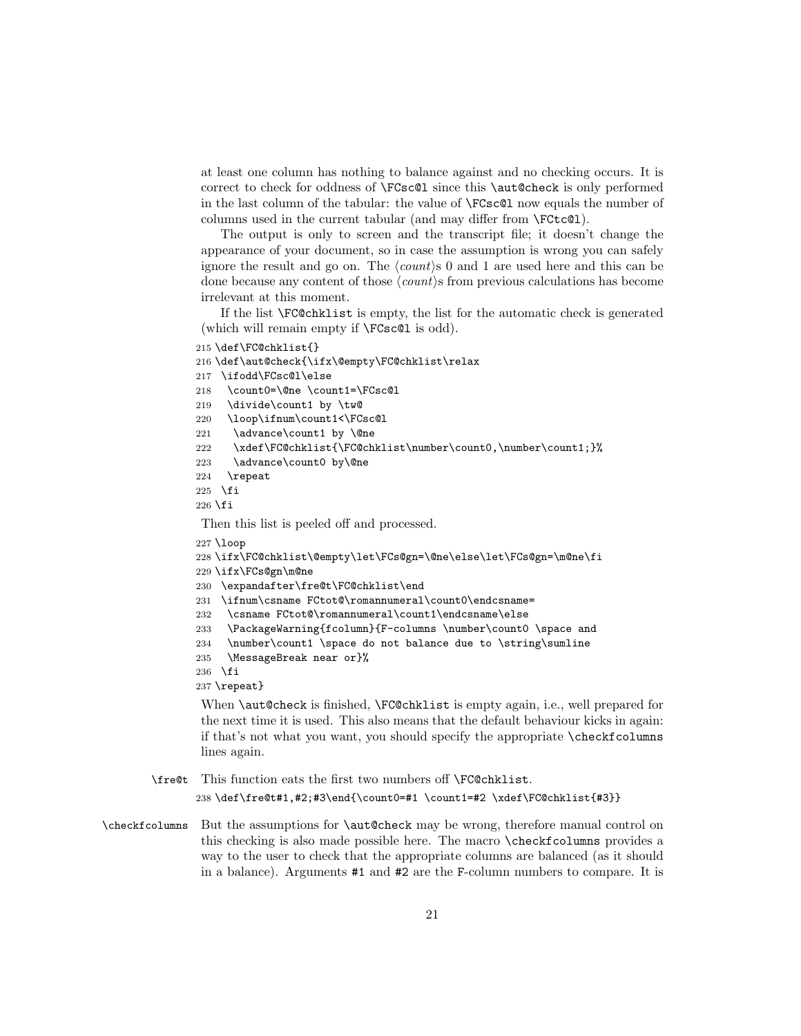at least one column has nothing to balance against and no checking occurs. It is correct to check for oddness of \FCsc@l since this \aut@check is only performed in the last column of the tabular: the value of \FCsc@l now equals the number of columns used in the current tabular (and may differ from \FCtc@l).

The output is only to screen and the transcript file; it doesn't change the appearance of your document, so in case the assumption is wrong you can safely ignore the result and go on. The  $\langle count \rangle$  0 and 1 are used here and this can be done because any content of those  $\langle count \rangle$ s from previous calculations has become irrelevant at this moment.

If the list \FC@chklist is empty, the list for the automatic check is generated (which will remain empty if \FCsc@l is odd).

```
215 \def\FC@chklist{}
```

```
216 \def\aut@check{\ifx\@empty\FC@chklist\relax
```
217 \ifodd\FCsc@l\else

```
218 \count0=\@ne \count1=\FCsc@l
```

```
219 \divide\count1 by \tw@
```

```
220 \loop\ifnum\count1<\FCsc@l
```
- 221 \advance\count1 by \@ne
- 222 \xdef\FC@chklist{\FC@chklist\number\count0,\number\count1;}%
- 223 \advance\count0 by\@ne
- 224 \repeat

```
225 \fi
```
 $226$  \fi

Then this list is peeled off and processed.

```
227 \loop
```

```
228 \ifx\FC@chklist\@empty\let\FCs@gn=\@ne\else\let\FCs@gn=\m@ne\fi
```
- 229 \ifx\FCs@gn\m@ne
- 230 \expandafter\fre@t\FC@chklist\end
- 231 \ifnum\csname FCtot@\romannumeral\count0\endcsname=
- 232 \csname FCtot@\romannumeral\count1\endcsname\else
- 233 \PackageWarning{fcolumn}{F-columns \number\count0 \space and
- 234 \number\count1 \space do not balance due to \string\sumline
- 235 \MessageBreak near or}%
- 236 \fi

237 \repeat}

When \aut@check is finished, \FC@chklist is empty again, i.e., well prepared for the next time it is used. This also means that the default behaviour kicks in again: if that's not what you want, you should specify the appropriate \checkfcolumns lines again.

- \fre@t This function eats the first two numbers off \FC@chklist. 238 \def\fre@t#1,#2;#3\end{\count0=#1 \count1=#2 \xdef\FC@chklist{#3}}
- \checkfcolumns But the assumptions for \aut@check may be wrong, therefore manual control on this checking is also made possible here. The macro \checkfcolumns provides a way to the user to check that the appropriate columns are balanced (as it should in a balance). Arguments #1 and #2 are the F-column numbers to compare. It is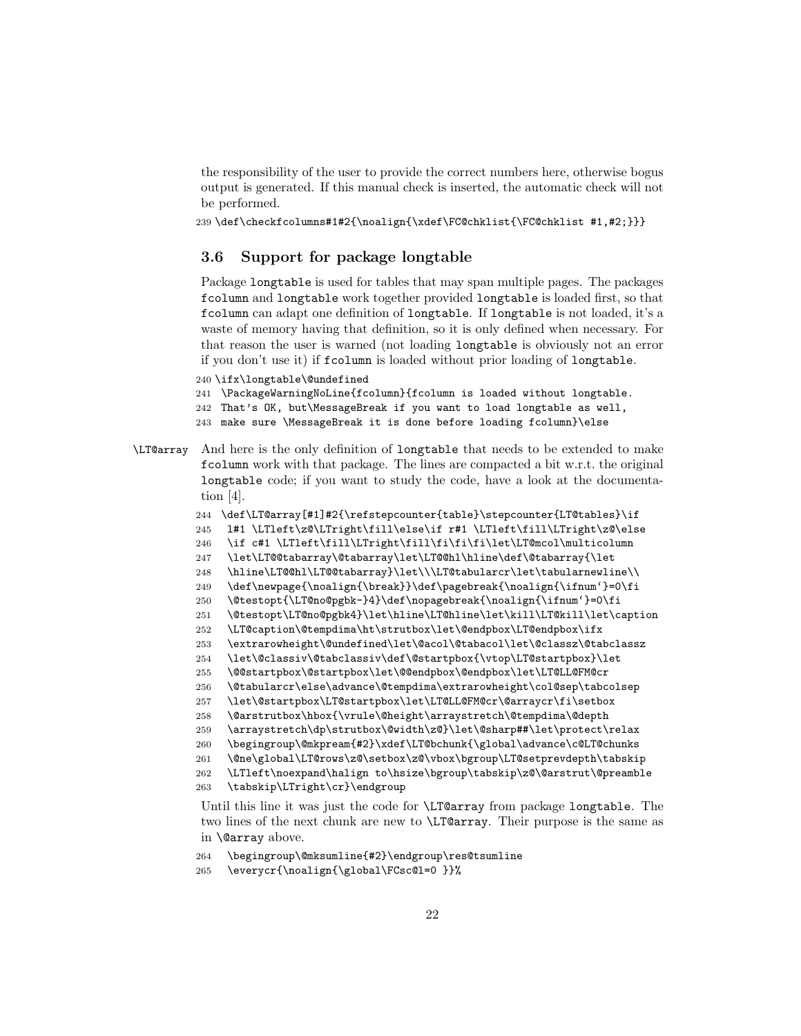the responsibility of the user to provide the correct numbers here, otherwise bogus output is generated. If this manual check is inserted, the automatic check will not be performed.

\def\checkfcolumns#1#2{\noalign{\xdef\FC@chklist{\FC@chklist #1,#2;}}}

#### 3.6 Support for package longtable

Package longtable is used for tables that may span multiple pages. The packages fcolumn and longtable work together provided longtable is loaded first, so that fcolumn can adapt one definition of longtable. If longtable is not loaded, it's a waste of memory having that definition, so it is only defined when necessary. For that reason the user is warned (not loading longtable is obviously not an error if you don't use it) if fcolumn is loaded without prior loading of longtable.

\ifx\longtable\@undefined

- \PackageWarningNoLine{fcolumn}{fcolumn is loaded without longtable.
- That's OK, but\MessageBreak if you want to load longtable as well,
- make sure \MessageBreak it is done before loading fcolumn}\else
- \LT@array And here is the only definition of longtable that needs to be extended to make fcolumn work with that package. The lines are compacted a bit w.r.t. the original longtable code; if you want to study the code, have a look at the documentation [\[4\]](#page-22-3).

```
244 \def\LT@array[#1]#2{\refstepcounter{table}\stepcounter{LT@tables}\if
245 l#1 \LTleft\z@\LTright\fill\else\if r#1 \LTleft\fill\LTright\z@\else
246 \if c#1 \LTleft\fill\LTright\fill\fi\fi\fi\let\LT@mcol\multicolumn
247 \let\LT@@tabarray\@tabarray\let\LT@@hl\hline\def\@tabarray{\let
```
- \hline\LT@@hl\LT@@tabarray}\let\\\LT@tabularcr\let\tabularnewline\\
- \def\newpage{\noalign{\break}}\def\pagebreak{\noalign{\ifnum'}=0\fi
- \@testopt{\LT@no@pgbk-}4}\def\nopagebreak{\noalign{\ifnum'}=0\fi
- \@testopt\LT@no@pgbk4}\let\hline\LT@hline\let\kill\LT@kill\let\caption
- \LT@caption\@tempdima\ht\strutbox\let\@endpbox\LT@endpbox\ifx
- \extrarowheight\@undefined\let\@acol\@tabacol\let\@classz\@tabclassz
- \let\@classiv\@tabclassiv\def\@startpbox{\vtop\LT@startpbox}\let
- \@@startpbox\@startpbox\let\@@endpbox\@endpbox\let\LT@LL@FM@cr
- \@tabularcr\else\advance\@tempdima\extrarowheight\col@sep\tabcolsep
- \let\@startpbox\LT@startpbox\let\LT@LL@FM@cr\@arraycr\fi\setbox
- \@arstrutbox\hbox{\vrule\@height\arraystretch\@tempdima\@depth
- \arraystretch\dp\strutbox\@width\z@}\let\@sharp##\let\protect\relax
- \begingroup\@mkpream{#2}\xdef\LT@bchunk{\global\advance\c@LT@chunks
- \@ne\global\LT@rows\z@\setbox\z@\vbox\bgroup\LT@setprevdepth\tabskip

```
262 \LTleft\noexpand\halign to\hsize\bgroup\tabskip\z@\@arstrut\@preamble
```
\tabskip\LTright\cr}\endgroup

Until this line it was just the code for  $\L{IT@array}$  from package longtable. The two lines of the next chunk are new to \LT@array. Their purpose is the same as in \@array above.

- \begingroup\@mksumline{#2}\endgroup\res@tsumline
- \everycr{\noalign{\global\FCsc@l=0 }}%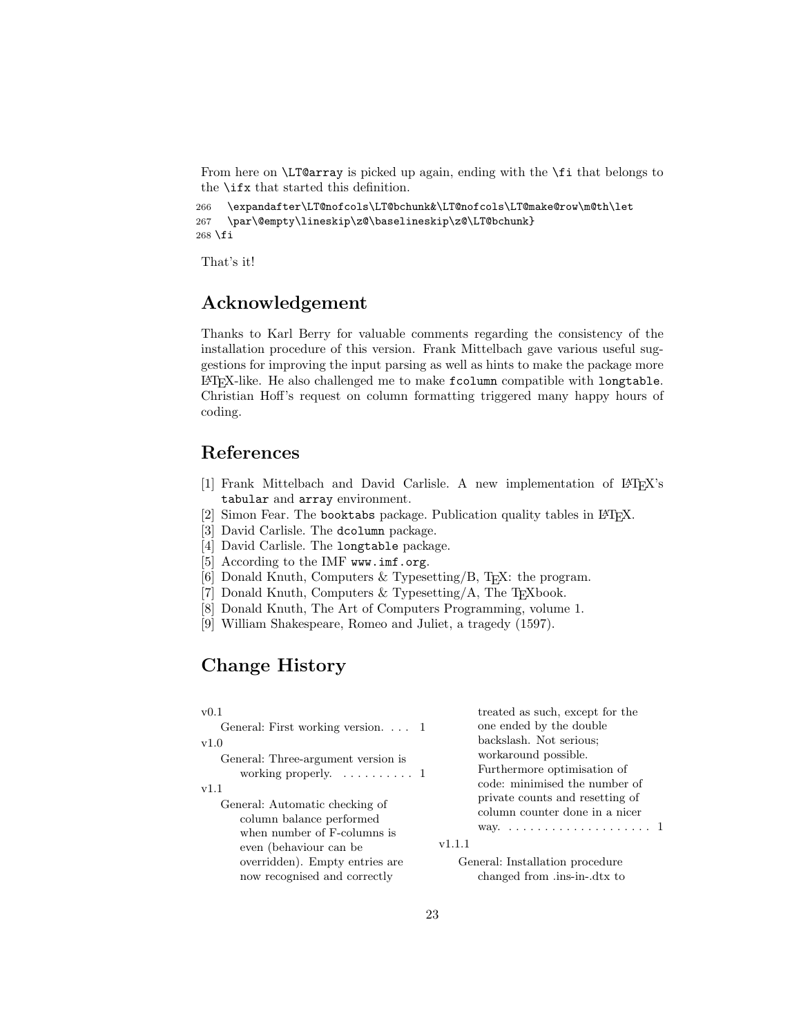From here on \LT@array is picked up again, ending with the \fi that belongs to the \ifx that started this definition.

```
266 \expandafter\LT@nofcols\LT@bchunk&\LT@nofcols\LT@make@row\m@th\let
267 \par\@empty\lineskip\z@\baselineskip\z@\LT@bchunk}
268 \fi
```
That's it!

### Acknowledgement

Thanks to Karl Berry for valuable comments regarding the consistency of the installation procedure of this version. Frank Mittelbach gave various useful suggestions for improving the input parsing as well as hints to make the package more LATEX-like. He also challenged me to make fcolumn compatible with longtable. Christian Hoff's request on column formatting triggered many happy hours of coding.

## References

- <span id="page-22-0"></span>[1] Frank Mittelbach and David Carlisle. A new implementation of LATEX's tabular and array environment.
- <span id="page-22-1"></span>[2] Simon Fear. The booktabs package. Publication quality tables in  $\mathbb{F}$ F<sub>F</sub>X.
- <span id="page-22-2"></span>[3] David Carlisle. The dcolumn package.
- <span id="page-22-3"></span>[4] David Carlisle. The longtable package.
- <span id="page-22-4"></span>[5] According to the IMF <www.imf.org>.
- <span id="page-22-5"></span>[6] Donald Knuth, Computers & Typesetting/B, T<sub>E</sub>X: the program.
- <span id="page-22-6"></span>[7] Donald Knuth, Computers & Typesetting/A, The T<sub>E</sub>Xbook.
- <span id="page-22-7"></span>[8] Donald Knuth, The Art of Computers Programming, volume 1.
- <span id="page-22-8"></span>[9] William Shakespeare, Romeo and Juliet, a tragedy (1597).

## Change History

#### v0.1

General: First working version. . . . 1 v1.0 General: Three-argument version is

working properly.  $\dots \dots \dots 1$ 

v1.1

General: Automatic checking of column balance performed when number of F-columns is even (behaviour can be overridden). Empty entries are now recognised and correctly

treated as such, except for the one ended by the double backslash. Not serious; workaround possible. Furthermore optimisation of code: minimised the number of private counts and resetting of column counter done in a nicer way. . . . . . . . . . . . . . . . . . . . . 1

v1.1.1

General: Installation procedure changed from .ins-in-.dtx to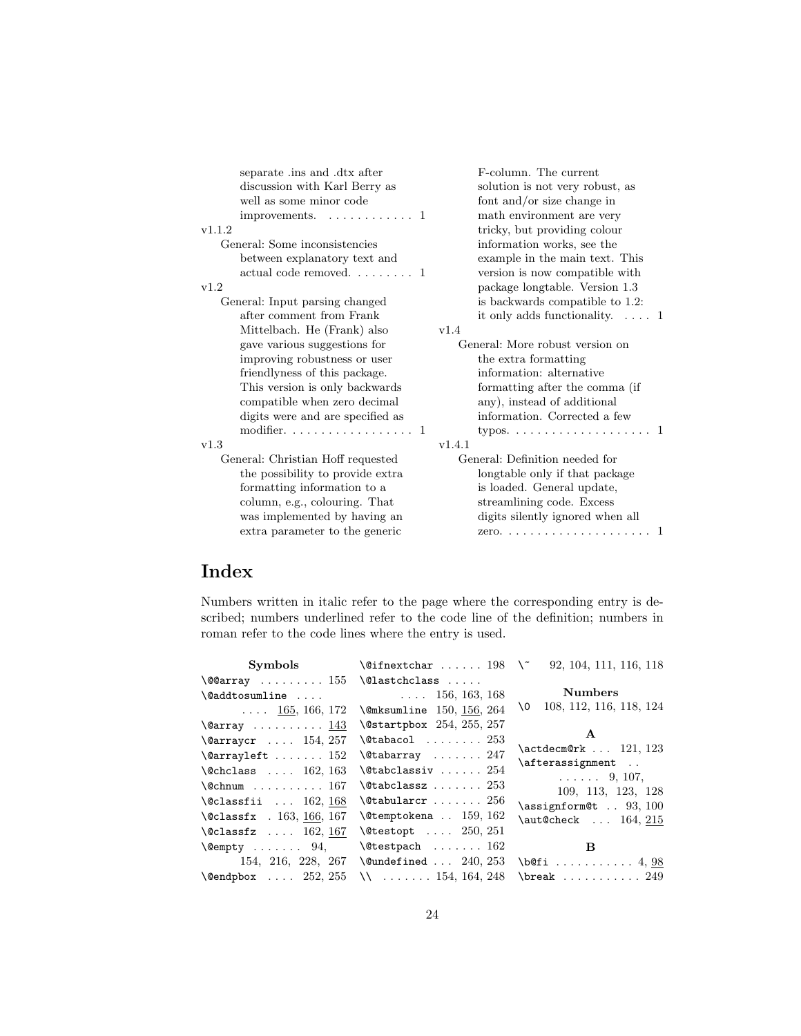| separate ins and dtx after<br>discussion with Karl Berry as<br>well as some minor code | F-column. The current<br>solution is not very robust, as<br>font and/or size change in |
|----------------------------------------------------------------------------------------|----------------------------------------------------------------------------------------|
| improvements. $\dots \dots \dots \dots$                                                | math environment are very                                                              |
| v1.1.2                                                                                 | tricky, but providing colour                                                           |
| General: Some inconsistencies                                                          | information works, see the                                                             |
| between explanatory text and                                                           | example in the main text. This                                                         |
| actual code removed $1$                                                                | version is now compatible with                                                         |
| v1.2                                                                                   | package longtable. Version 1.3                                                         |
| General: Input parsing changed                                                         | is backwards compatible to 1.2:                                                        |
| after comment from Frank                                                               | it only adds functionality. $\dots$ 1                                                  |
| Mittelbach. He (Frank) also                                                            | v1.4                                                                                   |
| gave various suggestions for                                                           | General: More robust version on                                                        |
| improving robustness or user                                                           | the extra formatting                                                                   |
| friendlyness of this package.                                                          | information: alternative                                                               |
| This version is only backwards                                                         | formatting after the comma (if                                                         |
| compatible when zero decimal                                                           | any), instead of additional                                                            |
| digits were and are specified as                                                       | information. Corrected a few                                                           |
| modifier. $\ldots \ldots \ldots \ldots \ldots 1$                                       |                                                                                        |
| v1.3                                                                                   | v1.4.1                                                                                 |
| General: Christian Hoff requested                                                      | General: Definition needed for                                                         |
| the possibility to provide extra                                                       | longtable only if that package                                                         |
| formatting information to a                                                            | is loaded. General update,                                                             |
| column, e.g., colouring. That                                                          | streamlining code. Excess                                                              |
| was implemented by having an                                                           | digits silently ignored when all                                                       |
| extra parameter to the generic                                                         |                                                                                        |
|                                                                                        |                                                                                        |

# Index

Numbers written in italic refer to the page where the corresponding entry is described; numbers underlined refer to the code line of the definition; numbers in roman refer to the code lines where the entry is used.

| Symbols                                  | $\left\{ \text{Different} \ldots \ldots \right\}$ | 92, 104, 111, 116, 118                       |
|------------------------------------------|---------------------------------------------------|----------------------------------------------|
| $\sqrt{00}$ array  155                   | \@lastchclass                                     |                                              |
| $\Diamond$ addtosumline                  | $\ldots$ 156, 163, 168                            | Numbers                                      |
| $\ldots$ 165, 166, 172                   | \@mksumline 150, 156, 264                         | 108, 112, 116, 118, 124<br>\0                |
| $\text{Qarray} \ldots \ldots \ldots 143$ | $\lambda$ 9startpbox 254, 255, 257                |                                              |
| $\text{0array}$ 154, 257                 | $\lambda$ Ctabacol $253$                          | $\mathbf{A}$                                 |
| $\text{Qarrayleft} \dots 152$            | $\lambda$ Ctabarray  247                          | $\ \texttt{actdecm@rk} \ \ldots \ \ 121,123$ |
| $\lambda$ Chclass  162, 163              | $\lambda$ @tabclassiv $254$                       | \afterassignment                             |
| $\text{Cchnum}$ 167                      | $\lambda$ Ctabclassz $253$                        | $\ldots$ . 9, 107,<br>109, 113, 123, 128     |
| $\lambda$ Classfii  162, 168             | $\lambda$ gtabularcr  256                         | $\text{lassignform@t} \dots 93, 100$         |
| \@classfx . 163, 166, 167                | $\text{\textbackslash} 462$                       | $\lambda$ 215                                |
| $\lambda$ Classfz  162, 167              | $\text{\textbackslash}$ Ctestopt $250, 251$       |                                              |
| $\text{Qempty} \dots \dots \quad 94,$    | $\texttt{\textbackslash}$ Ctestpach  162          | B                                            |
| 154, 216, 228, 267                       | $\text{Qundefined} \dots 240, 253$                | $\beta$ 4, 98                                |
| $\text{Qendpbox}$ $252, 255$             | $\backslash\backslash$ 154, 164, 248              | \break $249$                                 |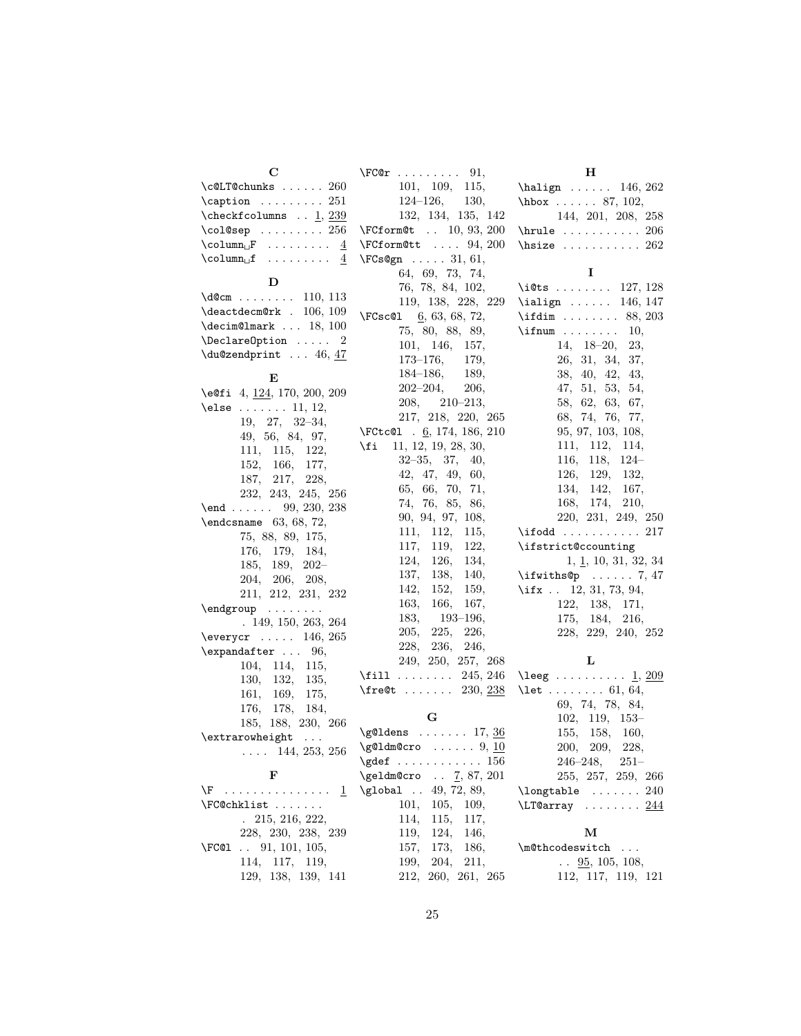| $\mathbf C$                                                       | $\Gamma \ldots \ldots$<br>91,              | Н                                       |
|-------------------------------------------------------------------|--------------------------------------------|-----------------------------------------|
| $\text{\textdegree} \ldots 260$                                   | 101, 109,<br>115,                          | $\hbox{halign} \ldots 146, 262$         |
| $\verb \caption \ 251$                                            | $124 - 126,$<br>130,                       | $hbox$ 87, 102,                         |
| $\text{\texttt{coker}}~\dots~\underline{1},\,\underline{239}$     | 132, 134, 135, 142                         | 144, 201, 208, 258                      |
| \col@sep $256$                                                    | \FCform@t  10, 93, 200                     | $\hbox{hrule} \ldots \ldots \ldots 206$ |
| $\text{Column}_{\Box} \text{F}$ $\underline{4}$                   | $\Gamma$ 94, 200                           | $\hbox{hsize}$ 262                      |
| $\text{Column}_{\sqcup} \textbf{f} \dots \dots \dots \quad 4$     | $\Gamma$ 31, 61,                           |                                         |
|                                                                   | 64, 69, 73, 74,                            | 1                                       |
| D                                                                 | 76, 78, 84, 102,                           | \i@ts  127, 128                         |
| $\text{\tt \textbackslash} d@cm \dots \dots \dots \quad 110, 113$ | 119, 138, 228, 229                         | \ialign $146, 147$                      |
| $\lambda = 106, 109$                                              | $\Gamma$ 6, 63, 68, 72,                    | \ifdim  88, 203                         |
| $\text{decim@lmark} \dots 18, 100$                                | 75, 80, 88, 89,                            | $\ifnum \ldots \ldots 10,$              |
| $\Delta$ $\Omega$ 2                                               | 101, 146, 157,                             | $14, 18-20,$<br>23,                     |
| $\du$ @zendprint  46, 47                                          | $173 - 176,$<br>179,                       | 26, 31, 34, 37,                         |
| E                                                                 | $184 - 186,$<br>189,                       | 38, 40, 42, 43,                         |
| \e@fi 4, 124, 170, 200, 209                                       | 202–204,<br>206,                           | 47, 51, 53, 54,                         |
| \else $\dots \dots 11, 12,$                                       | $208, 210-213,$                            | 58, 62, 63, 67,                         |
|                                                                   | 217, 218, 220, 265                         | 68, 74, 76, 77,                         |
| $19, 27, 32-34,$                                                  | \FCtc $@1$ . $6$ , 174, 186, 210           | 95, 97, 103, 108,                       |
| 49, 56, 84, 97,<br>111, 115, 122,                                 | \fi<br>11, 12, 19, 28, 30,                 | 111, 112, 114,                          |
| 152, 166, 177,                                                    | $32 - 35, 37,$<br>40,                      | $116, 118, 124-$                        |
| 187, 217,<br>228,                                                 | 42, 47, 49, 60,                            | 126, 129,<br>132,                       |
| 232, 243, 245, 256                                                | 65, 66, 70, 71,                            | 134, 142,<br>167,                       |
| $\text{end } \dots \dots \quad 99, 230, 238$                      | 74, 76, 85, 86,                            | 168, 174,<br>210,                       |
| $\end{t}$ endcsname 63, 68, 72,                                   | 90, 94, 97, 108,                           | 220, 231, 249, 250                      |
| 75, 88, 89, 175,                                                  | 111, 112,<br>115,                          | $\iota$ ifodd $217$                     |
| 176, 179, 184,                                                    | 117, 119,<br>122,                          | \ifstrict@ccounting                     |
| 185, 189, 202-                                                    | 124, 126,<br>134,                          | $1, \underline{1}, 10, 31, 32, 34$      |
| 204, 206, 208,                                                    | 137, 138,<br>140,                          | $\iint with s@p$ 7, 47                  |
| 211, 212, 231, 232                                                | 142, 152,<br>159,                          | \ifx $\ldots$ 12, 31, 73, 94,           |
|                                                                   | 163, 166,<br>167,                          | 122, 138, 171,                          |
| $\end{group} \dots \dots$<br>. 149, 150, 263, 264                 | $183, 193-196,$                            | 175, 184,<br>216,                       |
| $\text{everyc}$ 146, 265                                          | 225,<br>205,<br>226,                       | 228, 229, 240, 252                      |
| $\text{expandafter} \dots 96,$                                    | 228, 236,<br>246,                          |                                         |
| 104, 114,<br>115,                                                 | 249, 250, 257, 268                         | L                                       |
| 130,<br>132,<br>135,                                              | $\text{fill} \ldots \ldots \quad 245, 246$ | \leeg $\underline{1}, \underline{209}$  |
| 161, 169,<br>175,                                                 | \fre@t $230, 238$                          | \let $61, 64,$                          |
| 176, 178,<br>184,                                                 |                                            | 69, 74, 78, 84,                         |
| 185, 188, 230, 266                                                | G                                          | $102, 119, 153-$                        |
| \extrarowheight<br>$\ldots$ .                                     | $\qquad$ (g@ldens  17, 36                  | 155, 158, 160,                          |
| $\ldots$ 144, 253, 256                                            | $\qquad$ (g@ldm@cro  9, 10                 | 200,<br>209,<br>228,                    |
|                                                                   |                                            | $246 - 248$ , $251 -$                   |
| F                                                                 | $\text{Qeldm@cro} \dots$ 7, 87, 201        | 255, 257, 259, 266                      |
| $\setminus {\tt F}$ $\underline{1}$ .                             | $\qquad. 49, 72, 89,$                      | $\lambda$ 240                           |
| \FC@chklist                                                       | 101, 105, 109,                             | $\text{LT@array}$ 244                   |
| $. \ 215, 216, 222,$                                              | 114, 115,<br>117,                          |                                         |
| 228, 230, 238, 239                                                | 119, 124,<br>146,                          | М                                       |
| $\ldots$ 91, 101, 105,<br>\FC@l                                   | 157, 173,<br>186,                          | \m@thcodeswitch<br>$\cdots$             |
| 114, 117, 119,                                                    | 204, 211,<br>199,                          | $\ldots$ 95, 105, 108,                  |
| 129, 138, 139, 141                                                | 212, 260, 261, 265                         | 112, 117, 119, 121                      |